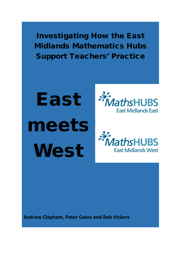Investigating How the East Midlands Mathematics Hubs Support Teachers' Practice

East meets **West** 





**Andrew Clapham, Peter Gates and Rob Vickers**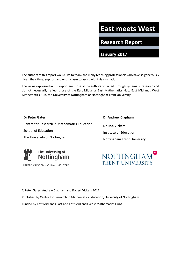# **East meets West**

**Research Report**

**January 2017**

The authors of this report would like to thank the many teaching professionals who have so generously given their time, support and enthusiasm to assist with this evaluation.

The views expressed in this report are those of the authors obtained through systematic research and do not necessarily reflect those of the East Midlands East Mathematics Hub, East Midlands West Mathematics Hub, the University of Nottingham or Nottingham Trent University

## **Dr Peter Gates**

Centre for Research in Mathematics Education School of Education The University of Nottingham

**Dr Andrew Clapham Dr Rob Vickers** Institute of Education Nottingham Trent University



UNITED KINGDOM · CHINA · MALAYSIA

**NOTTINGHAM** TRENT UNIVERSITY

©Peter Gates, Andrew Clapham and Robert Vickers 2017

Published by Centre for Research in Mathematics Education, University of Nottingham.

Funded by East Midlands East and East Midlands West Mathematics Hubs.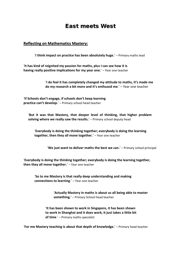# East meets West

## **Reflecting on Mathematics Mastery:**

'**I think impact on practice has been absolutely huge.**' – Primary maths lead

'**It has kind of reignited my passion for maths, plus I can see how it is having really positive implications for my year one.**' – Year one teacher

> '**I do feel it has completely changed my attitude to maths, it's made me do my research a bit more and it's enthused me**.' – Year one teacher

'**If Schools don't engage, if schools don't keep learning practice can't develop.**' – Primary school head teacher

'**But it was that Mastery, that deeper level of thinking, that higher problem solving where we really saw the results.**' – Primary school deputy head

'**Everybody is doing the thinking together; everybody is doing the learning together, then they all move together.**' – Year one teacher

'**We just want to deliver maths the best we can.**' – Primary school principal

'**Everybody is doing the thinking together; everybody is doing the learning together, then they all move together.**' – Year one teacher

'**So to me Mastery is that really deep understanding and making connections to learning**.' – Year one teacher

> '**Actually Mastery in maths is about us all being able to master something.**' – Primary School head teacher

'**It has been shown to work in Singapore, it has been shown to work in Shanghai and it does work, it just takes a little bit of time**.' – Primary maths specialist

'**For me Mastery teaching is about that depth of knowledge.**' – Primary head teacher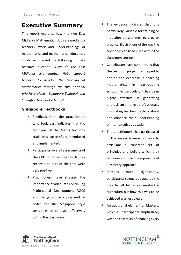# **Executive Summary**

This report explores how the two East Midlands Mathematics Hubs are mediating teachers' work and understandings of mathematics and mathematics education. To do so it asked the following primary research question: '*How do the East Midlands Mathematics Hubs support teachers to develop the learning of mathematics through the two national priority projects - Singapore Textbook and Shanghai Teacher Exchange'.*

## **Singapore Textbooks**

- **Feedback from the practitioners** who took part indicates that the first year of the Maths textbook trials was successfully introduced and implemented.
- **Participants' overall assessments of** the CPD opportunities which they received as part of the trial were very positive.
- **Practitioners have stressed the** importance of adequate Continuing Professional Development (CPD) and being properly prepared in order for the Singapore style textbooks to be used effectively within the classroom.
- The evidence indicates that it is particularly valuable for training or induction programmes to provide practical illustrations of the way the textbooks can to be used within the classroom setting.
- Contributors have commented that the textbook project has helped to add to the expertise in teaching mathematics, in participating schools. In particular, it has been highly effective in generating enthusiasm amongst professionals, motivating teachers to think about and enhance their understanding of mathematics education.
- The practitioners that participated in this research were not able to articulate a coherent set of principles and beliefs which they felt were important components of a Mastery approach.
- Perhaps most significantly, participants strongly advocated the idea that all children can master the curriculum but how this was to be achieved was less clear.
- An additional element of Mastery, which all participants emphasized, was the centrality of enabling every

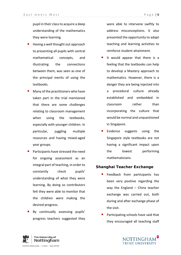pupil in their class to acquire a deep understanding of the mathematics they were learning.

- Having a well thought out approach to presenting all pupils with central mathematical concepts, and illustrating the connections between them, was seen as one of the principal merits of using the textbooks.
- Many of the practitioners who have taken part in the trial mentioned that there are some challenges relating to classroom management when using the textbooks, especially with younger children. In particular, juggling multiple resources and having mixed-aged year groups.
- Participants have stressed the need for ongoing assessment as an integral part of teaching, in order to constantly check pupils' understanding of what they were learning. By doing so contributors felt they were able to monitor that the children were making the desired progress.
- By continually assessing pupils' progress teachers suggested they

were able to intervene swiftly to address misconceptions. It also presented the opportunity to adapt teaching and learning activities to reinforce student attainment.

- It would appear that there is a feeling that the textbooks can help to develop a Mastery approach to mathematics. However, there is a danger they are being injected into a procedural culture already established and embedded in classroom rather than incorporating the culture that would be normal and unquestioned in Singapore.
- Evidence suggests using the Singapore style textbooks are not having a significant impact upon the lowest performing mathematicians.

## **Shanghai Teacher Exchange**

- Feedback from participants has been very positive regarding the way the England – China teacher exchange was carried out, both during and after exchange phase of the visit.
- Participating schools have said that they encouraged all teaching staff



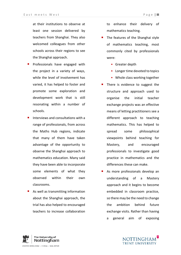at their institutions to observe at least one session delivered by teachers from Shanghai. They also welcomed colleagues from other schools across their regions to see the Shanghai approach.

- Professionals have engaged with the project in a variety of ways, while the level of involvement has varied, it has helped to foster and promote some exploration and development work that is still resonating within a number of schools.
- Interviews and consultations with a range of professionals, from across the Maths Hub regions, indicate that many of them have taken advantage of the opportunity to observe the Shanghai approach to mathematics education. Many said they have been able to incorporate some elements of what they observed within their own classrooms.
- As well as transmitting information about the Shanghai approach, the trial has also helped to encouraged teachers to increase collaboration

to enhance their delivery of mathematics teaching.

- The features of the Shanghai style of mathematics teaching, most commonly cited by professionals were:
	- Greater depth
	- Longer time devoted to topics
	- Whole class working together
- There is evidence to suggest the structure and approach used to organise the initial teacher exchange projects was an effective means of letting practitioners see a different approach to teaching mathematics. This has helped to spread some philosophical viewpoints behind teaching for Mastery, and encouraged professionals to investigate good practice in mathematics and the differences these can make.
- As more professionals develop an understanding of a Mastery approach and it begins to become embedded in classroom practice, so there may be the need to change the ambition behind future exchange visits. Rather than having a general aim of exposing



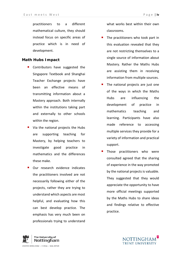practitioners to a different mathematical culture, they should instead focus on specific areas of practice which is in need of development.

## **Math Hubs Impact**

- Contributors have suggested the Singapore Textbook and Shanghai Teacher Exchange projects have been an effective means of transmitting information about a Mastery approach. Both internally within the institutions taking part and externally to other schools within the region.
- Via the national projects the Hubs are supporting teaching for Mastery, by helping teachers to investigate good practice in mathematics and the differences these make.
- Our research evidence indicates the practitioners involved are not necessarily following either of the projects, rather they are trying to understand which aspects are most helpful, and evaluating how this can best develop practice. The emphasis has very much been on professionals trying to understand

what works best within their own classrooms.

- The practitioners who took part in this evaluation revealed that they are not restricting themselves to a single source of information about Mastery. Rather the Maths Hubs are assisting them in receiving information from multiple sources.
- The national projects are just one of the ways in which the Maths Hubs are influencing the development of practice in mathematics teaching and learning. Participants have also made reference to accessing multiple services they provide for a variety of information and practical support.
- Those practitioners who were consulted agreed that the sharing of experience in the way promoted by the national projects is valuable. They suggested that they would appreciate the opportunity to have more official meetings supported by the Maths Hubs to share ideas and findings relative to effective practice.



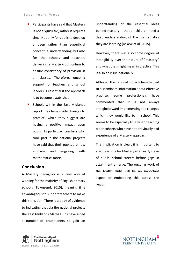- **Participants have said that Mastery** is not a 'quick fix', rather it requires time. Not only for pupils to develop a deep rather than superficial conceptual understanding, but also for the schools and teachers delivering a Mastery curriculum to ensure consistency of provision in all classes. Therefore, ongoing support for teachers and school leaders is essential if the approach is to become established.
- Schools within the East Midlands report they have made changes to practice, which they suggest are having a positive impact upon pupils. In particular, teachers who took part in the national projects have said that their pupils are now enjoying and engaging with mathematics more.

## **Conclusion**

A Mastery pedagogy is a new way of working for the majority of English primary schools (Townsend, 2015), meaning it is advantageous to support teachers to make this transition. There is a body of evidence to indicating that via the national projects the East Midlands Maths Hubs have aided a number of practitioners to gain an

understanding of the essential ideas behind mastery – that all children need a deep understanding of the mathematics they are learning (Askew et al, 2015).

However, there was also some degree of intangibility over the nature of "mastery" and what that might mean in practice. This is also an issue nationally

Although the national projects have helped to disseminate information about effective practice, some professionals have commented that it is not always straightforward implementing the changes which they would like to in school. This seems to be especially true when teaching older cohorts who have not previously had experience of a Mastery approach.

The implication is clear; it is important to start teaching for Mastery at an early stage of pupils' school careers before gaps in attainment emerge. The ongoing work of the Maths Hubs will be an important aspect of embedding this across the region.



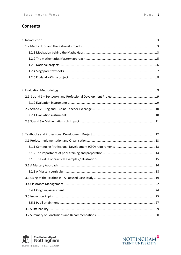# **Contents**

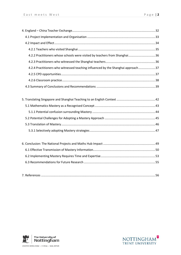| 4.2.2 Practitioners whose schools were visited by teachers from Shanghai36       |  |
|----------------------------------------------------------------------------------|--|
|                                                                                  |  |
| 4.2.4 Practitioners who witnessed teaching influenced by the Shanghai approach37 |  |
|                                                                                  |  |
|                                                                                  |  |
|                                                                                  |  |

| $ -$ |
|------|
|------|



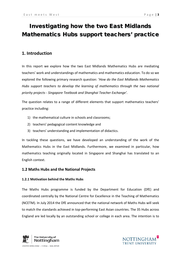# Investigating how the two East Midlands Mathematics Hubs support teachers' practice

# <span id="page-10-0"></span>**1. Introduction**

In this report we explore how the two East Midlands Mathematics Hubs are mediating teachers' work and understandings of mathematics and mathematics education. To do so we explored the following primary research question: '*How do the East Midlands Mathematics Hubs support teachers to develop the learning of mathematics through the two national priority projects - Singapore Textbook and Shanghai Teacher Exchange'.*

The question relates to a range of different elements that support mathematics teachers' practice including:

- 1) the mathematical culture in schools and classrooms;
- 2) teachers' pedagogical content knowledge and
- 3) teachers' understanding and implementation of didactics.

In tackling these questions, we have developed an understanding of the work of the Mathematics Hubs in the East Midlands. Furthermore, we examined in particular, how mathematics teaching originally located in Singapore and Shanghai has translated to an English context.

## <span id="page-10-1"></span>**1.2 Maths Hubs and the National Projects**

## <span id="page-10-2"></span>**1.2.1 Motivation behind the Maths Hubs**

The Maths Hubs programme is funded by the Department for Education (DfE) and coordinated centrally by the National Centre for Excellence in the Teaching of Mathematics (NCETM). In July 2014 the DfE announced that the national network of Maths Hubs will seek to match the standards achieved in top-performing East Asian countries. The 35 Hubs across England are led locally by an outstanding school or college in each area. The intention is to



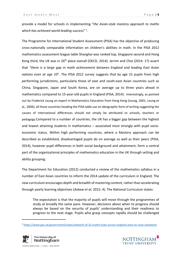provide a model for schools in implementing "*the Asian-style mastery approach to maths which has achieved world-leading success*" [1](#page-11-0).

The Programme for International Student Assessment (PISA) has the objective of producing cross-nationally comparable information on children's abilities in math. In the PISA 2012 mathematics assessment league table Shanghai was ranked top, Singapore second and Hong Kong third, the UK was in  $26<sup>th</sup>$  place overall (OECD, 2014). Jerrim and Choi (2014: 17) assert that *"there is a large gap in math achievement between England and leading East Asian nations even at age 10*". The PISA 2012 survey suggests that by age 15 pupils from high performing jurisdictions, particularly those of east and south-east Asian countries such as China, Singapore, Japan and South Korea, are on average up to three years ahead in mathematics compared to 15-year-old pupils in England (PISA, 2014). Interestingly, as pointed out by Frederick Leung an expert in Mathematics Education from Hong Kong (Leung, 2001; Leung et al., 2006), all those countries heading the PISA table use an ideographic form of writing suggesting the causes of international differences should not simply be attributed to schools, teachers or pedagogy.Compared to a number of countries, the UK has a bigger gap between the highest and lowest attaining students in mathematics – associated most strongly with pupil socioeconomic status. Within high performing countries, where a Mastery approach can be described as established, disadvantaged pupils do on average as well as their peers (PISA, 2014), however pupil differences in both social background and attainment, form a central part of the organizational principles of mathematics education in the UK through setting and ability grouping.

The Department for Education (2012) conducted a review of the mathematics syllabus in a number of East Asian countries to inform the 2014 update of the curriculum in England. The new curriculum encourages depth and breadth of mastering content, rather than accelerating through yearly learning objectives (Askew *et al*, 2015: 4). The National Curriculum states:

The expectation is that the majority of pupils will move through the programmes of study at broadly the same pace. However, decisions about when to progress should always be based on the security of pupils' understanding and their readiness to progress to the next stage. Pupils who grasp concepts rapidly should be challenged

<span id="page-11-0"></span><sup>1</sup> <https://www.gov.uk/government/news/network-of-32-maths-hubs-across-england-aims-to-raise-standards>



**.** 

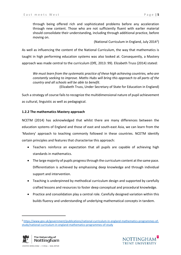through being offered rich and sophisticated problems before any acceleration through new content. Those who are not sufficiently fluent with earlier material should consolidate their understanding, including through additional practice, before moving on.

(National Curriculum in England, July 2014[2\)](#page-12-1)

As well as influencing the content of the National Curriculum, the way that mathematics is taught in high performing education systems was also looked at. Consequently, a Mastery approach was made central to the curriculum (DfE, 2013: 99). Elizabeth Truss (2014) stated:

*We must learn from the systematic practice of these high achieving countries, who are constantly seeking to improve. Maths Hubs will bring this approach to all parts of the country and all schools will be able to benefit*.

(Elizabeth Truss, Under Secretary of State for Education in England)

Such a strategy of course fails to recognize the multidimensional nature of pupil achievement as cultural, linguistic as well as pedagogical.

## <span id="page-12-0"></span>**1.2.2 The mathematics Mastery approach**

NCETM (2014) has acknowledged that whilst there are many differences between the education systems of England and those of east and south-east Asia, we can learn from the 'Mastery' approach to teaching commonly followed in these countries. NCETM identify certain principles and features that characterise this approach:

- Teachers reinforce an expectation that all pupils are capable of achieving high standards in mathematics.
- The large majority of pupils progress through the curriculum content at the same pace. Differentiation is achieved by emphasising deep knowledge and through individual support and intervention.
- Teaching is underpinned by methodical curriculum design and supported by carefully crafted lessons and resources to foster deep conceptual and procedural knowledge.
- Practice and consolidation play a central role. Carefully designed variation within this builds fluency and understanding of underlying mathematical concepts in tandem.

<span id="page-12-1"></span><sup>2</sup> https://www.gov.uk/government/publications/national-curriculum-in-england-mathematics-programmes-ofstudy/national-curriculum-in-england-mathematics-programmes-of-study



**.** 

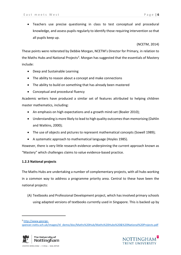• Teachers use precise questioning in class to test conceptual and procedural knowledge, and assess pupils regularly to identify those requiring intervention so that all pupils keep up.

(NCETM, 2014)

These points were reiterated by Debbie Morgan, NCETM's Director for Primary, in relation to the Maths Hubs and National Projects<sup>3</sup>. Morgan has suggested that the essentials of Mastery include:

- Deep and Sustainable Learning
- The ability to reason about a concept and make connections
- The ability to build on something that has already been mastered
- Conceptual and procedural fluency

Academic writers have produced a similar set of features attributed to helping children master mathematics, including:

- An emphasis on high expectations and a growth mind-set (Boaler 2010);
- Understanding is more likely to lead to high quality outcomes than memorising (Dahlin and Watkins, 2000);
- The use of objects and pictures to represent mathematical concepts (Sowell 1989);
- A systematic approach to mathematical language (Hoyles 1985).

However, there is very little research evidence underpinning the current approach known as "Mastery" which challenges claims to value evidence-based practice.

## <span id="page-13-0"></span>**1.2.3 National projects**

The Maths Hubs are undertaking a number of complementary projects, with all hubs working in a common way to address a programme priority area. Central to these have been the national projects:

(A) [Textbooks and Professional Development](http://www.mathshubs.org.uk/what-maths-hubs-are-doing/textbooks/) project, which has involved primary schools using adapted versions of textbooks currently used in Singapore. This is backed up by

<span id="page-13-1"></span><sup>3</sup> [http://www.george-](http://www.george-spencer.notts.sch.uk/images/itl_demo/doc/Maths%20Hub/Maths%20Hubs%20&%20National%20Projects.pdf)

**.** 

[spencer.notts.sch.uk/images/itl\\_demo/doc/Maths%20Hub/Maths%20Hubs%20&%20National%20Projects.pdf](http://www.george-spencer.notts.sch.uk/images/itl_demo/doc/Maths%20Hub/Maths%20Hubs%20&%20National%20Projects.pdf)



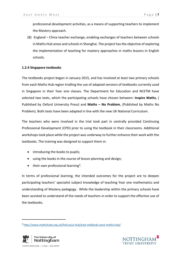professional development activities, as a means of supporting teachers to implement the [Mastery](https://www.ncetm.org.uk/public/files/19990433/Developing_mastery_in_mathematics_october_2014.pdf) approach.

(B) [England –](http://www.mathshubs.org.uk/what-maths-hubs-are-doing/england-china/) China teacher exchange, enabling exchanges of teachers between schools in Maths Hub areas and schools in Shanghai. The project has the objective of exploring the implementation of teaching for mastery approaches in maths lessons in English schools.

#### <span id="page-14-0"></span>**1.2.4 Singapore textbooks**

The textbooks project began in January 2015, and has involved at least two primary schools from each Maths Hub region trialling the use of adapted versions of textbooks currently used in Singapore in their Year one classes. The Department for Education and NCETM have selected two texts, which the participating schools have chosen between: **Inspire Maths**, ( Published by [Oxford University Press\)](https://global.oup.com/education/content/primary/series/inspire-maths) and **Maths – No Problem**, (Published by [Maths No](http://www.mathsnoproblem.co.uk/)  [Problem\)](http://www.mathsnoproblem.co.uk/). Both texts have been adapted in line with the new UK National Curriculum.

The teachers who were involved in the trial took part in centrally provided Continuing Professional Development (CPD) prior to using the textbook in their classrooms. Additional workshops took place while the project was underway to further enhance their work with the textbooks. The training was designed to support them in:

- introducing the books to pupils;
- using the books in the course of lesson planning and design;
- $\bullet$  their own professional learning<sup>4</sup>.

In terms of professional learning, the intended outcomes for the project are to deepen participating teachers' specialist subject knowledge of teaching Year one mathematics and understanding of Mastery pedagogy. While the leadership within the primary schools have been assisted to understand of the needs of teachers in order to support the effective use of the textbooks.

<span id="page-14-1"></span><sup>4</sup> <http://www.mathshubs.org.uk/find-your-hub/east-midlands-west-maths-hub/>



**.**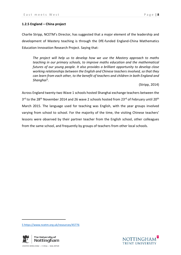## <span id="page-15-0"></span>**1.2.5 [England –](http://www.mathshubs.org.uk/what-maths-hubs-are-doing/england-china/) China project**

Charlie Stripp, NCETM's Director, has suggested that a major element of the leadership and development of Mastery teaching is through the DfE-funded England-China Mathematics Education Innovation Research Project. Saying that:

*The project will help us to develop how we use the Mastery approach to maths teaching in our primary schools, to improve maths education and the mathematical futures of our young people. It also provides a brilliant opportunity to develop close working relationships between the English and Chinese teachers involved, so that they can learn from each other, to the benefit of teachers and children in both England and Shanghai*[5](#page-15-1)*.*

(Stripp, 2014)

Across England twenty-two Wave 1 schools hosted Shanghai exchange teachers between the 3<sup>rd</sup> to the 28<sup>th</sup> November 2014 and 26 wave 2 schools hosted from 23<sup>rd</sup> of February until 20<sup>th</sup> March 2015. The language used for teaching was English, with the year groups involved varying from school to school. For the majority of the time, the visiting Chinese teachers' lessons were observed by their partner teacher from the English school, other colleagues from the same school, and frequently by groups of teachers from other local schools.

<span id="page-15-1"></span>5 https://www.ncetm.org.uk/resources/45776



**.** 

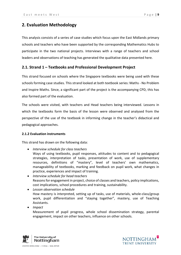## <span id="page-16-0"></span>**2. Evaluation Methodology**

This analysis consists of a series of case studies which focus upon the East Midlands primary schools and teachers who have been supported by the corresponding Mathematics Hubs to participate in the two national projects. Interviews with a range of teachers and school leaders and observations of teaching has generated the qualitative data presented here.

## <span id="page-16-1"></span>**2.1. Strand 1 – Textbooks and Professional Development Project**

This strand focused on schools where the Singapore textbooks were being used with these schools forming case studies. This strand looked at both textbook series: Maths - No Problem and Inspire Maths. Since, a significant part of the project is the accompanying CPD, this has also formed part of the evaluation.

The schools were visited, with teachers and Head teachers being interviewed. Lessons in which the textbooks form the basis of the lesson were observed and analysed from the perspective of the use of the textbook in informing change in the teacher's didactical and pedagogical approaches.

#### <span id="page-16-2"></span>**2.1.2 Evaluation instruments**

This strand has drawn on the following data:

- *Interview schedule for class teachers* Ways of using textbooks, pupil responses, attitudes to content and to pedagogical strategies, interpretation of tasks, presentation of work, use of supplementary resources, definitions of "mastery", level of teachers' own mathematics, manageability of textbooks, marking and feedback on pupil work, what changes in practice, experiences and impact of training.
- *Interview schedule for head teachers* Reasons for engagement in project, choice of classes and teachers, policy implications, cost implications, school procedures and training, sustainability.
- *Lesson observation schedule* How mastery is interpreted, setting up of tasks, use of materials, whole-class/group work, pupil differentiation and "staying together", mastery, use of Teaching Assistants.
- *Impact* Measurement of pupil progress, whole school dissemination strategy, parental engagement, impact on other teachers, influence on other schools.



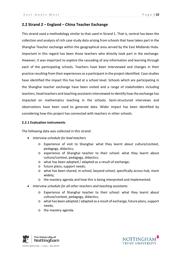## <span id="page-17-0"></span>**2.2 Strand 2 – England – China Teacher Exchange**

This strand used a methodology similar to that used in Strand 1. That is, central has been the collection and analysis of rich case study data arising from schools that have taken part in the Shanghai Teacher exchange within the geographical area served by the East Midlands Hubs. Important in this regard has been those teachers who directly took part in the exchange. However, it was important to explore the cascading of any information and learning through each of the participating schools. Teachers have been interviewed and changes in their practice resulting from their experiences as a participant in the project identified. Case studies have identified the impact this has had at a school level. Schools which are participating in the Shanghai teacher exchange have been visited and a range of stakeholders including teachers, head teachers and teaching assistants interviewed to identify how the exchange has impacted on mathematics teaching in the schools. Semi-structured interviews and observations have been used to generate data. Wider impact has been identified by considering how this project has connected with teachers in other schools.

#### <span id="page-17-1"></span>**2.2.1 Evaluation instruments**

The following data was collected in this strand:

- *Interview schedule for lead teachers*
	- o Experience of visit to Shanghai: what they learnt about culture/context, pedagogy, didactics;
	- o experience of Shanghai teacher to their school: what they learnt about culture/context, pedagogy, didactics;
	- o what has been adopted / adapted as a result of exchange;
	- o future plans, support needs;
	- o what has been shared, in-school, beyond school, specifically across hub, more widely;
	- o the mastery agenda and how this is being interpreted and implemented.
- *Interview schedule for all other teachers and teaching assistants*
	- o Experience of Shanghai teacher to their school: what they learnt about culture/context, pedagogy, didactics;
	- o what has been adopted / adapted as a result of exchange, future plans, support needs;
	- o the mastery agenda.



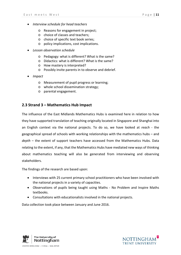- *Interview schedule for head teachers*
	- o Reasons for engagement in project;
	- o choice of classes and teachers;
	- o choice of specific text book series;
	- o policy implications, cost implications.
- *Lesson observation schedule*
	- o Pedagogy: what is different? What is the same?
	- o Didactics: what is different? What is the same?
	- o How mastery is interpreted?
	- o Possibly invite parents in to observe and debrief.
- *Impact*
	- o Measurement of pupil progress or learning;
	- o whole school dissemination strategy;
	- o parental engagement.

## <span id="page-18-0"></span>**2.3 Strand 3 – Mathematics Hub Impact**

The influence of the East Midlands Mathematics Hubs is examined here in relation to how they have supported translation of teaching originally located in Singapore and Shanghai into an English context via the national projects. To do so, we have looked at *reach* - the geographical spread of schools with working relationships with the mathematics hubs – and *depth* – the extent of support teachers have accessed from the Mathematics Hubs. Data relating to the extent, if any, that the Mathematics Hubs have mediated new ways of thinking about mathematics teaching will also be generated from interviewing and observing stakeholders.

The findings of the research are based upon:

- Interviews with 25 current primary school practitioners who have been involved with the national projects in a variety of capacities.
- Observations of pupils being taught using Maths No Problem and Inspire Maths textbooks.
- Consultations with educationalists involved in the national projects.

Data collection took place between January and June 2016.



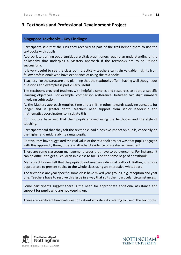## <span id="page-19-0"></span>**3. Textbooks and Professional Development Project**

## **Singapore Textbooks - Key Findings:**

Participants said that the CPD they received as part of the trail helped them to use the textbooks with pupils.

Appropriate training opportunities are vital; practitioners require an understanding of the philosophy that underpins a Mastery approach if the textbooks are to be utilised successfully.

It is very useful to see the classroom practice – teachers can gain valuable insights from fellow professionals who have experience of using the textbooks

Teachers like the structure and planning that the textbooks offer – having well thought out questions and examples is particularly useful.

The textbooks provided teachers with helpful examples and resources to address specific learning objectives. For example, comparison (difference) between two digit numbers involving subtraction.

As the Mastery approach requires time and a shift in ethos towards studying concepts for longer and in greater depth, teachers need support from senior leadership and mathematics coordinators to instigate this.

Contributors have said that their pupils enjoyed using the textbooks and the style of teaching.

Participants said that they felt the textbooks had a positive impact on pupils, especially on the higher and middle ability range pupils.

Contributors have suggested the real value of the textbook project was that pupils engaged with this approach, though there is little hard evidence of greater achievement.

There are some classroom management issues that have to be overcome. For instance, it can be difficult to get all children in a class to focus on the same page of a textbook.

Many practitioners felt that the pupils do not need an individual textbook. Rather, it is more appropriate to present topics to the whole class using an interactive whiteboard.

The textbooks are year specific, some class have mixed year groups, e.g. reception and year one. Teachers have to resolve this issue in a way that suits their particular circumstances.

Some participants suggest there is the need for appropriate additional assistance and support for pupils who are not keeping up.

There are significant financial questions about affordability relating to use of the textbooks.



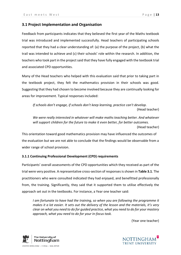### <span id="page-20-0"></span>**3.1 Project Implementation and Organisation**

Feedback from participants indicates that they believed the first year of the Maths textbook trial was introduced and implemented successfully. Head teachers of participating schools reported that they had a clear understanding of: (a) the purpose of the project, (b) what the trail was intended to achieve and (c) their schools' role within the research. In addition, the teachers who took part in the project said that they have fully engaged with the textbook trial and associated CPD opportunities.

Many of the Head teachers who helped with this evaluation said that prior to taking part in the textbook project, they felt the mathematics provision in their schools was good. Suggesting that they had chosen to become involved because they are continually looking for areas for improvement. Typical responses included:

*If schools don't engage, if schools don't keep learning, practice can't develop.* (Head teacher)

*We were really interested in whatever will make maths teaching better. And whatever will support children for the future to make it even better, for better outcomes.*  (Head teacher)

This orientation toward good mathematics provision may have influenced the outcomes of the evaluation but we are not able to conclude that the findings would be observable from a wider range of school provision.

#### <span id="page-20-1"></span>**3.1.1 Continuing Professional Development (CPD) requirements**

Participants' overall assessments of the CPD opportunities which they received as part of the trial were very positive. A representative cross-section of responses is shown in **Table 3.1**. The practitioners who were consulted indicated they had enjoyed, and benefitted professionally from, the training. Significantly, they said that it supported them to utilise effectively the approach set out in the textbooks. For instance, a Year one teacher said:

*I* am fortunate to have had the training, so when you are following the programme it *makes it a lot easier. It sets out the delivery of the lesson and the materials, it's very clear on what you need to do for guided practice, what you need to do for your mastery approach, what you need to do for your in-focus task.*

(Year one teacher)



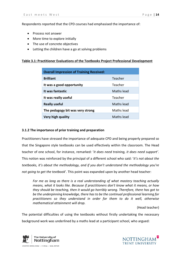Respondents reported that the CPD courses had emphasised the importance of:

- Process not answer
- More time to explore initially
- The use of concrete objectives
- Letting the children have a go at solving problems

## **Table 3.1: Practitioner Evaluations of the Textbooks Project Professional Development**

| <b>Overall Impression of Training Received:</b> |            |
|-------------------------------------------------|------------|
| <b>Brilliant</b>                                | Teacher    |
| It was a good opportunity                       | Teacher    |
| It was fantastic                                | Maths lead |
| It was really useful                            | Teacher    |
| <b>Really useful</b>                            | Maths lead |
| The pedagogy bit was very strong                | Maths lead |
| Very high quality                               | Maths lead |

## <span id="page-21-0"></span>**3.1.2 The importance of prior training and preparation**

Practitioners have stressed the importance of adequate CPD and being properly prepared so that the Singapore style textbooks can be used effectively within the classroom. The Head teacher of one school, for instance, remarked: '*it does need training, it does need support'*. This notion was reinforced by the principal of a different school who said: '*it's not about the textbooks, it's about the methodology, and if you don't understand the methodology you're not going to get the textbook*'. This point was expanded upon by another head teacher:

*For me as long as there is a real understanding of what mastery teaching actually means, what it looks like. Because if practitioners don't know what it means, or how they should be teaching, then it would go horribly wrong. Therefore, there has got to be the underpinning knowledge, there has to be the continual professional learning for practitioners so they understand in order for them to do it well, otherwise mathematical attainment will drop.*

(Head teacher)

The potential difficulties of using the textbooks without firstly undertaking the necessary background work was underlined by a maths lead at a participant school, who argued:



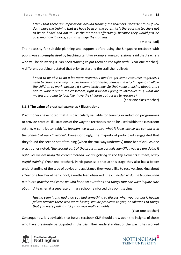*I think that there are implications around training the teachers. Because I think if you don't have the training that we have been on the potential is there for the teachers not to be on board and not to use the materials effectively, because they would just be guessing how it works, so that is huge the training.*

(Maths lead)

The necessity for suitable planning and support before using the Singapore textbook with pupils was also emphasised by teaching staff. For example, one professional said that teachers who will be delivering it: '*do need training to put them on the right path*' (Year one teacher). A different participant stated that prior to starting the trail she realised:

*I need to be able to do a lot more research, I need to get some resources together, I need to change the way my classroom is organised, change the way I'm going to allow the children to work, because it's completely new. So that needs thinking about, and I had to work it out in the classroom, right how am I going to introduce this, what are my lessons going to look like, have the children got access to resource?*

(Year one class teacher)

## <span id="page-22-0"></span>**3.1.3 The value of practical examples / illustrations**

Practitioners have noted that it is particularly valuable for training or induction programmes to provide practical illustrations of the way the textbooks can to be used within the classroom setting. A contributor said: '*as teachers we want to see what it looks like so we can put it in the context of our classroom'*. Correspondingly, the majority of participants suggested that they found the second set of training (when the trail way underway) more beneficial. As one practitioner noted: '*the second part of the programme actually identified yes we are doing it right, yes we are using the correct method, we are getting all the key elements in there, really useful training*' (Year one teacher). Participants said that at this stage they also has a better understanding of the type of advice and assistance they would like to receive. Speaking about a Year one teacher at her school, a maths lead observed, they: '*needed to do the teaching and put it into practice and come up with her own questions and things that she wasn't quite sure about*'. A teacher at a separate primary school reinforced this point saying:

*Having seen it and had a go you had something to discuss when you got back, having fellow teacher there who were having similar problems to you, or solutions to things that you were finding tricky that was really valuable.*

(Year one teacher)

Consequently, it is advisable that future textbook CDP should draw upon the insights of those who have previously participated in the trial. Their understanding of the way it has worked



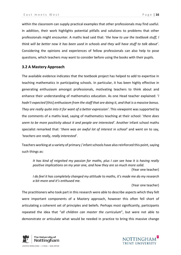within the classroom can supply practical examples that other professionals may find useful. In addition, their work highlights potential pitfalls and solutions to problems that other professionals might encounter. A maths lead said that: '*the how to use the textbook stuff, I think will be better now it has been used in schools and they will have stuff to talk about'*. Considering the opinions and experiences of fellow professionals can also help to pose questions, which teachers may want to consider before using the books with their pupils.

## <span id="page-23-0"></span>**3.2 A Mastery Approach**

The available evidence indicates that the textbook project has helped to add to expertise in teaching mathematics in participating schools. In particular, it has been highly effective in generating enthusiasm amongst professionals, motivating teachers to think about and enhance their understanding of mathematics education. As one Head teacher explained: '*I hadn't expected* [this] *enthusiasm from the staff that are doing it, and that is a massive bonus. They are really quite into it for want of a better expression'*. This viewpoint was supported by the comments of a maths lead, saying of mathematics teaching at their school: '*there does seem to be more positivity about it and people are interested'*. Another infant school maths specialist remarked that: '*there was an awful lot of interest in school'* and went on to say, *'teachers are really, really interested'*.

Teachers working at a variety of primary / infant schools have also reinforced this point, saying such things as:

*It has kind of reignited my passion for maths, plus I can see how it is having really positive implications on my year one, and how they are so much more solid*. (Year one teacher)

*I do feel it has completely changed my attitude to maths, it's made me do my research a bit more and it's enthused me.*

(Year one teacher)

The practitioners who took part in this research were able to describe aspects which they felt were important components of a Mastery approach, however this often fell short of articulating a coherent set of principles and beliefs. Perhaps most significantly, participants repeated the idea that "*all children can master the curriculum*", but were not able to demonstrate or articulate what would be needed in practice to bring this massive change



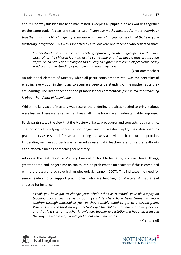about. One way this idea has been manifested is keeping all pupils in a class working together on the same topic. A Year one teacher said: *'I suppose maths mastery for me is everybody together, that's the big change; differentiation has been changed, so it is kind of that everyone mastering it together'*. This was supported by a fellow Year one teacher, who reflected that:

*I understand about the mastery teaching approach, no ability groupings within your class, all of the children learning at the same time and then having mastery through depth. So basically not moving on too quickly to higher more complex problems, really solid basic understanding of numbers and how they work.*

(Year one teacher)

An additional element of Mastery which all participants emphasized, was the centrality of enabling every pupil in their class to acquire a deep understanding of the mathematics they are learning. The Head teacher of one primary school commented: '*for me mastery teaching is about that depth of knowledge*'.

Whilst the language of mastery was secure, the underling practices needed to bring it about were less so. There was a sense that it was "all in the books" – an understandable response.

Participants stated the view that the Mastery of facts, procedures and concepts requires time. The notion of studying concepts for longer and in greater depth, was described by practitioners as essential for secure learning but was a deviation from current practice. Embedding such an approach was regarded as essential if teachers are to use the textbooks as an effective means of teaching for Mastery.

Adopting the features of a Mastery Curriculum for Mathematics, such as: fewer things, greater depth and longer time on topics, can be problematic for teachers if this is combined with the pressure to achieve high grades quickly (Lamon, 2007). This indicates the need for senior leadership to support practitioners who are teaching for Mastery. A maths lead stressed for instance:

*I think you have got to change your whole ethos as a school, your philosophy on teaching maths because years upon years' teachers have been trained to move children through material as fast as they possibly could to get to a certain point. Whereas now the thinking is you actually get the children to understand very deeply, and that is a shift on teacher knowledge, teacher expectations, a huge difference in the way the whole staff would feel about teaching maths.*

(Maths lead)



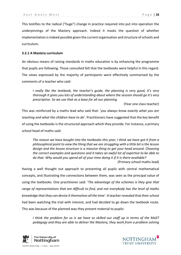This testifies to the radical ("huge") change in practice required into put into operation the underpinnings of the Mastery approach. Indeed it masks the question of whether implementation is indeed possible given the current organisation and structure of schools and curriculum.

## <span id="page-25-0"></span>**3.2.1 A Mastery curriculum**

An obvious means of raising standards in maths education is by enhancing the programme that pupils are following. Those consulted felt that the textbooks were helpful in this regard. The views expressed by the majority of participants were effectively summarised by the comments of a teacher who said:

*I really like the textbook, the teacher's guide, the planning is very good, it's very thorough it gives you lots of understanding about where the session should go it's very prescriptive. So we use that as a base for all our planning.*

(Year one class teacher)

This was reinforced by a maths lead who said that: '*you always know exactly what you are teaching and what the children have to do*'. Practitioners have suggested that the key benefit of using the textbooks is the structured approach which they provide. For instance, a primary school head of maths said:

*The reason we have bought into the textbooks this year; I think we have got it from a philosophical point to view the thing that we are struggling with a little bit is the lesson design and the lesson structure is a massive thing to get your head around. Choosing the correct examples and questions and it takes an awful lot of expertise to be able to do that. Why would you spend all of your time doing it if it is there available?*

(Primary school maths lead)

Having a well thought out approach to presenting all pupils with central mathematical concepts, and illustrating the connections between them, was seen as the principal value of using the textbooks. One practitioner said: '*The advantage of the schemes is they give that range of representations that are difficult to find, and not everybody has the level of maths knowledge that they can devise it themselves all the time'*. A teacher revealed that their school had been watching the trial with interest, and had decided to go down the textbook route. This was because of the planned way they present material to pupils:

*I think the problem for us is we have so skilled our staff up in terms of the MaST pedagogy and they are able to deliver the Mastery, they work from a problem solving* 



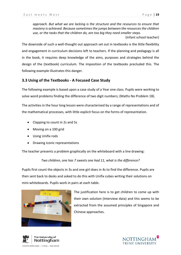*approach. But what we are lacking is the structure and the resources to ensure that mastery is achieved. Because sometimes the jumps between the resources the children use, or the tasks that the children do, are too big they need smaller steps*.

(Infant school teacher)

The downside of such a well-thought out approach set out in textbooks is the little flexibility and engagement in curriculum decisions left to teachers. If the planning and pedagogy is all in the book, it requires deep knowledge of the aims, purposes and strategies behind the design of the (textbook) curriculum. The imposition of the textbooks precluded this. The following example illustrates this danger.

## <span id="page-26-0"></span>**3.3 Using of the Textbooks - A Focused Case Study**

The following example is based upon a case study of a Year one class. Pupils were working to solve word problems finding the difference of two digit numbers; (Maths No Problem 1B).

The activities in the hour long lesson were characterised by a range of representations and of the mathematical processes, with little explicit focus on the forms of representation.

- Clapping to count in 2s and 5s
- Moving on a 100 grid
- Using Unifix rods
- Drawing iconic representations

The teacher presents a problem graphically on the whiteboard with a line drawing:

*Two children, one has 7 sweets one had 11, what is the difference?*

Pupils first count the objects in 3s and one girl does in 4s to find the difference. Pupils are then sent back to desks and asked to do this with Unifix cubes writing their solutions on mini-whiteboards. Pupils work in pairs at each table.



The justification here is to get children to come up with their own solution (Interview data) and this seems to be extracted from the assumed principles of Singapore and Chinese approaches.



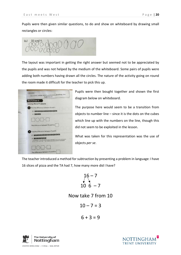Pupils were then given similar questions, to do and show on whiteboard by drawing small rectangles or circles:

16 and 4  $(a)$ 

The layout was important in getting the right answer but seemed not to be appreciated by the pupils and was not helped by the medium of the whiteboard. Some pairs of pupils were adding both numbers having drawn all the circles. The nature of the activity going on round the room made it difficult for the teacher to pick this up.

| II.05,2016<br>C. I can solve word problems, finding the<br>difference.                                                                                                                                                                                                                                                                       |  |
|----------------------------------------------------------------------------------------------------------------------------------------------------------------------------------------------------------------------------------------------------------------------------------------------------------------------------------------------|--|
| Worksheet 5                                                                                                                                                                                                                                                                                                                                  |  |
| <b>Solving Word Problems</b>                                                                                                                                                                                                                                                                                                                 |  |
| 1 Find the difference between 15 and 4.                                                                                                                                                                                                                                                                                                      |  |
|                                                                                                                                                                                                                                                                                                                                              |  |
| $\bullet$ $\bullet$ $\bullet$                                                                                                                                                                                                                                                                                                                |  |
| $\Box$ O $\Box$ = $\Box$                                                                                                                                                                                                                                                                                                                     |  |
| The difference between 15 and 4 is                                                                                                                                                                                                                                                                                                           |  |
| Find the difference between 17 and 8.                                                                                                                                                                                                                                                                                                        |  |
| 17 <sup>1</sup>                                                                                                                                                                                                                                                                                                                              |  |
| $\bullet\bullet\bullet\bullet\bullet\bullet\bullet$<br>0 1 2 3 4 5 6 7 8 9 10 11 12 13 14 15 16 17 18 19 20                                                                                                                                                                                                                                  |  |
| $\bigcap_{i=1}^n\bigcap_{i=1}^n\bigcap_{i=1}^n\bigcap_{i=1}^n\bigcap_{i=1}^n\bigcap_{i=1}^n\bigcap_{i=1}^n\bigcap_{i=1}^n\bigcap_{i=1}^n\bigcap_{i=1}^n\bigcap_{i=1}^n\bigcap_{i=1}^n\bigcap_{i=1}^n\bigcap_{i=1}^n\bigcap_{i=1}^n\bigcap_{i=1}^n\bigcap_{i=1}^n\bigcap_{i=1}^n\bigcap_{i=1}^n\bigcap_{i=1}^n\bigcap_{i=1}^n\bigcap_{i=1}^n$ |  |
| The difference between 17 and 8 is                                                                                                                                                                                                                                                                                                           |  |

Pupils were then bought together and shown the first diagram below on whiteboard.

The purpose here would seem to be a transition from objects to number line – since it is the dots on the cubes which line up with the numbers on the line, though this did not seem to be exploited in the lesson.

What was taken for this representation was the use of objects *per se*.

The teacher introduced a method for subtraction by presenting a problem in language: I have 16 slices of pizza and the TA had 7, how many more did I have?

$$
\begin{array}{c}\n16 - 7 \\
\big\downarrow \\
10 \quad 6 - 7\n\end{array}
$$

Now take 7 from 10

$$
10-7=3
$$

$$
6+3=9
$$



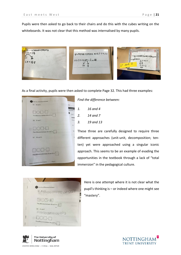Pupils were then asked to go back to their chairs and do this with the cubes writing on the whiteboards. It was not clear that this method was internalised by many pupils.

**DE DE DE DOOD 00600000**  $-16$  $2^{\circ}$ Tiggesseed00000000000 occooQiyo  $0000009 - 6 = 10$  $\frac{2}{6}$  $\frac{7-5=?}{0}$  $10 - 165$  $27$  and  $10^{-1}$  $5=2$ 

As a final activity, pupils were then asked to complete Page 32. This had three examples:



*Find the difference between:*

- *1. 16 and 4 2. 14 and 7 3. 19 and 13*
- These three are carefully designed to require three different approaches (unit-unit, decomposition; tenten) yet were approached using a singular iconic approach. This seems to be an example of evading the opportunities in the textbook through a lack of "total immersion" in the pedagogical culture.



Here is one attempt where it is not clear what the pupil's thinking is – or indeed where one might see "mastery".



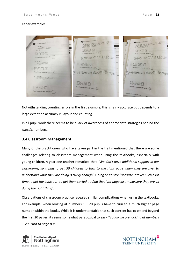### Other examples…



Notwithstanding counting errors in the first example, this is fairly accurate but depends to a large extent on accuracy in layout and counting

In all pupil work there seems to be a lack of awareness of appropriate strategies behind the *specific* numbers.

## <span id="page-29-0"></span>**3.4 Classroom Management**

Many of the practitioners who have taken part in the trail mentioned that there are some challenges relating to classroom management when using the textbooks, especially with young children. A year one teacher remarked that: '*We don't have additional support in our classrooms, so trying to get 30 children to turn to the right page when they are five, to understand what they are doing is tricky enough'.* Going on to say: '*Because it takes such a lot time to get the book out, to get them sorted, to find the right page just make sure they are all doing the right thing'.*

Observations of classroom practice revealed similar complications when using the textbooks. For example, when looking at numbers  $1 - 20$  pupils have to turn to a much higher page number within the books. While it is understandable that such content has to extend beyond the first 20 pages, it seems somewhat paradoxical to say - "*Today we are looking at numbers 1-20. Turn to page 83*".



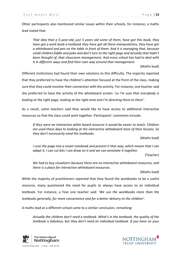Other participants also mentioned similar issues within their schools, for instance, a maths lead stated that:

*That idea that a 5-year-old, just 5 years old some of them, have got this book, they have got a work book a textbook they have got all these manipulatives, they have got a whiteboard and pen on the table in front of them. And it is managing that, because small children fiddle and poke and don't turn to the right page and actually that hadn't been thought of, that classroom management. And every school has had to deal with it in different ways and find their own way around that management.*

(Maths lead)

Different institutions had found their own solutions to this difficulty. The majority reported that they preferred to have the children's attention focused at the front of the class, making sure that they could monitor their connection with the activity. For instance, one teacher said she preferred to have the activity of the whiteboard screen: '*so I'm sure that everybody is looking at the right page, looking at the right area and I'm directing them to there*'.

As a result, some teachers said they would like to have access to additional interactive resources so that the class could work together. Participants' comments include:

*If they were an interactive white board resource it would be easier to teach. Children are used these days to looking at the interactive whiteboard most of their lessons. So they don't necessarily need the textbooks.*

(Maths lead)

*I scan the page into a smart notebook and present it that way, which means that I can adapt it, I can cut bits I can draw on it and we can annotate it together.* 

(Teacher)

*We had to buy visualizers because there are no interactive whiteboard resources, and there is a place for interactive whiteboard resources.*

(Maths lead)

While the majority of practitioners reported that they found the workbooks to be a useful resource, many questioned the need for pupils to always have access to an individual textbook. For instance, a Year one teacher said: '*We use the workbooks more than the textbooks generally, for more convenience and for a better delivery to the children'*.

A maths lead at a different school came to a similar conclusion, remarking:

*Actually the children don't need a textbook. What's in the textbook, the quality of the textbook is fabulous, but they don't need an individual textbook. If you have on your* 



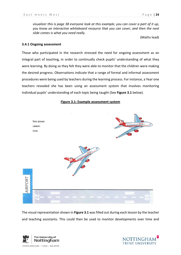*visualizer this is page 38 everyone look at this example, you can cover a part of it up, you know an interactive whiteboard resource that you can cover, and then the next slide comes is what you need really.*

(Maths lead)

#### <span id="page-31-0"></span>**3.4.1 Ongoing assessment**

Those who participated in the research stressed the need for ongoing assessment as an integral part of teaching, in order to continually check pupils' understanding of what they were learning. By doing so they felt they were able to monitor that the children were making the desired progress. Observations indicate that a range of formal and informal assessment procedures were being used by teachers during the learning process. For instance, a Year one teachers revealed she has been using an assessment system that involves monitoring individual pupils' understanding of each topic being taught (See **Figure 3.1** below).

#### **Figure 3.1: Example assessment system**



The visual representation shown in **Figure 3.1** was filled out during each lesson by the teacher and teaching assistants. This could then be used to monitor developments over time and



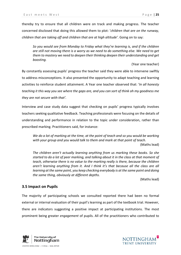thereby try to ensure that all children were on track and making progress. The teacher concerned disclosed that doing this allowed them to plot: '*children that are on the runway, children that are taking off and children that are at high altitude'*. Going on to say:

*So you would see from Monday to Friday what they're learning is, and if the children are still not moving there is a worry as we need to do something else. We need to get them to mastery we need to deepen their thinking deepen their understanding and get boosting.*

(Year one teacher)

By constantly assessing pupils' progress the teacher said they were able to intervene swiftly to address misconceptions. It also presented the opportunity to adapt teaching and learning activities to reinforce student attainment. A Year one teacher observed that: '*In all honesty teaching it this way you see where the gaps are, and you can sort of think oh my goodness me they are not secure with that'.*

Interview and case study data suggest that checking on pupils' progress typically involves teachers seeking qualitative feedback. Teaching professionals were focusing on the details of understanding and performance in relation to the topic under consideration, rather than prescribed marking. Practitioners said, for instance:

*We do a lot of marking at the time, at the point of teach and so you would be working with your group and you would talk to them and mark at that point of teach.*  (Maths lead)

*The children aren't actually learning anything from us marking these books. So she started to do a lot of peer marking, and talking about it in the class at that moment of teach, otherwise there is no value to the marking really is there, because the children aren't learning anything from it. And I think it's that because all the class are all learning at the same point, you keep checking everybody is at the same point and doing the same thing, obviously at different depths.*

(Maths lead)

## <span id="page-32-0"></span>**3.5 Impact on Pupils**

The majority of participating schools we consulted reported there had been no formal external or internal evaluation of their pupil's learning as part of the textbook trial. However, there are indicators suggesting a positive impact at participating institutions. The most prominent being greater *engagement* of pupils. All of the practitioners who contributed to



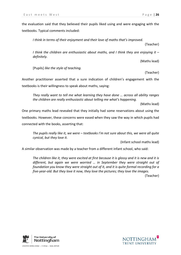the evaluation said that they believed their pupils liked using and were engaging with the textbooks. Typical comments included:

*I think in terms of their enjoyment and their love of maths that's improved*.

(Teacher)

*I think the children are enthusiastic about maths, and I think they are enjoying it – definitely.*

(Maths lead)

[Pupils] *like the style of teaching.*

(Teacher)

Another practitioner asserted that a sure indication of children's engagement with the textbooks is their willingness to speak about maths, saying:

*They really want to tell me what learning they have done … across all ability ranges the children are really enthusiastic about telling me what's happening.*

(Maths lead)

One primary maths lead revealed that they initially had some reservations about using the textbooks. However, these concerns were eased when they saw the way in which pupils had connected with the books, asserting that:

*The pupils really like it, we were – textbooks I'm not sure about this, we were all quite cynical, but they love it.*

(Infant school maths lead)

A similar observation was made by a teacher from a different infant school, who said:

*The children like it, they were excited at first because it is glossy and it is new and it is different, but again we were worried … in September they were straight out of foundation you know they were straight out of it, and it is quite formal recording for a five-year-old. But they love it now, they love the pictures; they love the images.* (Teacher)



UNITED KINGDOM · CHINA · MALAYSIA

NOTTINGHAM TRENT UNIVERSITY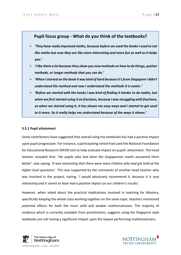## **Pupil focus group - What do you think of the textbooks?**

- *'They have really improved maths, because before we used the books I used to not like maths but now they are like more interesting and more fun as well as it helps you.'*
- *'I like them a lot because they show you new methods on how to do things, quicker methods, or longer methods that you can do.'*
- *'When I started on the book it was kind of hard because it's from Singapore I didn't understand the method and now I understand the methods it is easier.'*
- *'Before we started with the books I was kind of finding it harder to do maths, but when we first started using it on fractions, because I was struggling with fractions, so when we started using it, it has shown me easy ways and I started to get used to it more. So it really helps me understand because of the ways it shows.'*

## <span id="page-34-0"></span>**3.5.1 Pupil attainment**

Some contributors have suggested that overall using the textbooks has had a positive impact upon pupil progression. For instance, a participating school had used the National Foundation for Educational Research (NFER) test to help evaluate impact on pupils' attainment. The head teacher revealed that: '*the pupils who had done the Singaporean maths answered them better*', also saying: '*it was interesting that there were more children who had got hold of the higher level questions*'. This was supported by the comments of another head teacher who was involved in the project, noting: '*I would absolutely recommend it, because it is very interesting and it seems to have had a positive impact on our children's results'*.

However, when asked about the practical implications involved in teaching for Mastery, specifically keeping the whole class working together on the same topic, teachers mentioned potential effects for both the more solid and weaker mathematicians. The majority of evidence which is currently available from practitioners, suggests using the Singapore style textbooks are not having a significant impact upon the lowest performing mathematicians.



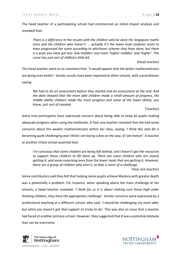The head teacher of a participating school had commenced an initial impact analysis and revealed that:

*There is a difference in the results with the children who've done the Singapore maths texts and the children who haven't. … actually it's the lower level students seem to have progressed the same according to whichever scheme they have done, but there is a push you have got less 'low middles' and more 'higher middles' and 'higher'. The curve has just sort of shifted a little bit.* 

(Head teacher)

This head teacher went on to comment that: '*it would appear that the better mathematicians are doing even better*'. Similar results have been reported at other schools, with a practitioner saying:

*We had to do an assessment before they started and an assessment at the end. And the data showed that the more able children made a small amount of progress, the middle ability children made the most progress and some of the lower ability, you know, just sort of coasted.*

(Teacher)

Some trial participants have expressed concern about being able to keep all pupils making adequate progress when using the textbooks. A Year one teacher revealed that she had some concerns about the weaker mathematicians within her class, saying: '*I think this next bit is becoming quite challenging and I think I am losing a few on the way, if I am honest'*. A teacher at another infant school asserted that:

*I'm conscious that some children are being left behind, and I haven't got the resources to support those children to lift them up. There are some children who are clearly getting it, and some surprising ones from the lower ranks that are getting it. However, there are a group of children who aren't, so that is more of a challenge.*

(Year one teacher)

Some contributors said they felt that helping some pupils achieve Mastery with greater depth was a potentially a problem. For instance, when speaking about the main challenge at her schools, a Head teacher revealed: '*I think for us it is about making sure those high order thinking children, they have the appropriate challenge'*. Similar concerns were expressed by a professional teaching at a different school, who said: '*I should be challenging my more able, but when you haven't got that support its tricky to do'*. This was also an issue that a teacher had faced at another primary school. However, they suggested that it was a potential obstacle that can be overcome:



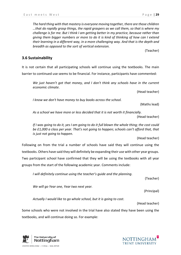*The hard thing with that mastery is everyone moving together, there are those children …that do rapidly grasp things, the rapid graspers as we call them, so that is where my challenge is for me. But I think I am getting better in my practice, because rather than giving them bigger numbers or more to do it is kind of thinking of how can I extend their learning in a different way, in a more challenging way. And that is the depth and breadth as opposed to the sort of vertical extension.*

(Teacher)

## <span id="page-36-0"></span>**3.6 Sustainability**

It is not certain that all participating schools will continue using the textbooks. The main barrier to continued use seems to be financial. For instance, participants have commented:

*We just haven't got that money, and I don't think any schools have in the current economic climate*.

(Head teacher)

*I know we don't have money to buy books across the school.*

(Maths lead)

*As a school we have more or less decided that it is not worth it financially.*

(Head teacher)

*If I was going to do it, yes I am going to do it full blown the whole thing; the cost could be £1,000 a class per year. That's not going to happen; schools can't afford that, that is just not going to happen.*

(Head teacher)

Following on from the trial a number of schools have said they will continue using the textbooks. Others have said they will definitely be expanding their use with other year groups. Two participant school have confirmed that they will be using the textbooks with all year groups from the start of the following academic year. Comments include:

*I will definitely continue using the teacher's guide and the planning*.

(Teacher)

*We will go Year one, Year two next year.*

(Principal)

*Actually I would like to go whole school, but it is going to cost.*

(Head teacher)

Some schools who were not involved in the trial have also stated they have been using the textbooks, and will continue doing so. For example:



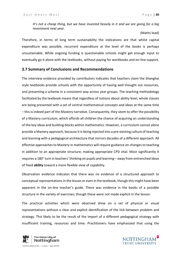*It's not a cheap thing, but we have invested heavily in it and we are going for a big investment next year.*

(Maths lead)

Therefore, in terms of long term sustainability the indications are that whilst capital expenditure was possible, recurrent expenditure at the level of the books is perhaps unsustainable. While ongoing funding is questionable schools might get enough input to eventually go it alone with the textbooks, without paying for workbooks and on-line support.

## <span id="page-37-0"></span>**3.7 Summary of Conclusions and Recommendations**

The interview evidence provided by contributors indicates that teachers claim the Shanghai style textbooks provide schools with the opportunity of having well thought out resources, and presenting a scheme in a consistent way across year groups. The teaching methodology facilitated by the textbook means that regardless of notions about ability level, whole classes are being presented with a set of central mathematical concepts and ideas at the same time – this is indeed part of the Mastery narrative. Consequently, they seem to offer the possibility of a Mastery curriculum, which affords all children the chance of acquiring an understanding of the key ideas and building blocks within mathematics. However, a curriculum cannot alone provide a Mastery approach, because it is being injected into a pre-existing culture of teaching and learning with a pedagogical architecture that mirrors decades of a different approach. All effective approaches to Mastery in mathematics will require guidance on changes to teaching in addition to an appropriate structure, making appropriate CPD vital. Most significantly it requires a 180° turn in teachers' thinking on pupils and learning – away from entrenched ideas of fixed **ability** toward a more flexible view of capability.

Observation evidence indicates that there was no evidence of a structured approach to conceptual representations in the lesson or even in the textbook, though this might have been apparent in the on-line teacher's guide. There was evidence in the books of a possible structure in the variety of exercises; though these were not made explicit in the lesson.

The practical activities which were observed drew on a set of physical or visual representations without a clear and explicit identification of the link between problem and strategy. This likely to be the result of the import of a different pedagogical strategy with insufficient training, resources and time. Practitioners have emphasized that using the



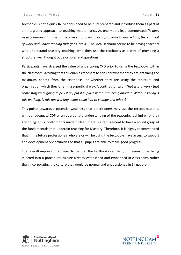textbooks is not a quick fix. Schools need to be fully prepared and introduce them as part of an integrated approach to teaching mathematics. As one maths lead commented: '*It does need a warning that it isn't the answer to solving maths problems in your school, there is a lot of work and understanding that goes into it'.* The ideal scenario seems to be having teachers who understand Mastery teaching, who then use the textbooks as a way of providing a structure, well thought out examples and questions.

Participants have stressed the value of undertaking CPD prior to using the textbooks within the classroom. Advising that this enables teachersto consider whether they are obtaining the maximum benefit from the textbooks, or whether they are using the structure and organisation which they offer in a superficial way. A contributor said: '*That was a worry that some staff were going to pick it up, put it in place without thinking about it. Without saying is this working, is this not working, what could I do to change and adapt?'*

This points towards a potential weakness that practitioners may use the textbooks alone, without adequate CDP or an appropriate understanding of the reasoning behind what they are doing. Thus, contributors made it clear, there is a requirement to have a sound grasp of the fundamentals that underpin teaching for Mastery. Therefore, it is highly recommended that in the future professionals who are or will be using the textbooks have access to support and development opportunities so that all pupils are able to make good progress.

The overall impression appears to be that the textbooks can help, but seem to be being injected into a procedural culture already established and embedded in classrooms rather than incorporating the culture that would be normal and unquestioned in Singapore.



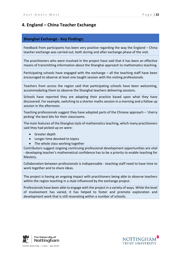## <span id="page-39-0"></span>**4. England – China Teacher Exchange**

## **Shanghai Exchange - Key Findings:**

Feedback from participants has been very positive regarding the way the England – China teacher exchange was carried out, both during and after exchange phase of the visit.

The practitioners who were involved in the project have said that it has been an effective means of transmitting information about the Shanghai approach to mathematics teaching.

Participating schools have engaged with the exchange – all the teaching staff have been encouraged to observe at least one taught session with the visiting professionals.

Teachers from across the region said that participating schools have been welcoming, accommodating them to observe the Shanghai teachers delivering sessions.

Schools have reported they are adapting their practice based upon what they have discovered. For example, switching to a shorter maths session in a morning and a follow up session in the afternoon.

Teaching professionals suggest they have adopted parts of the Chinese approach – 'cherry picking' the best bits for their classrooms.

The main features of the Shanghai style of mathematics teaching, which many practitioners said they had picked up on were:

- Greater depth
- Longer time devoted to topics
- The whole class working together

Contributors suggest ongoing continuing professional development opportunities are vital - developing teacher's mathematical confidence has to be a priority to enable teaching for Mastery.

Collaboration between professionals is indispensable - teaching staff need to have time to work together and to share ideas.

The project is having an ongoing impact with practitioners being able to observe teachers within the region teaching in a style influenced by the exchange project.

Professionals have been able to engage with the project in a variety of ways. While the level of involvement has varied, it has helped to foster and promote exploration and development work that is still resonating within a number of schools.



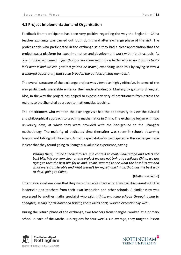## <span id="page-40-0"></span>**4.1 Project Implementation and Organisation**

Feedback from participants has been very positive regarding the way the England – China teacher exchange was carried out, both during and after exchange phase of the visit. The professionals who participated in the exchange said they had a clear appreciation that the project was a platform for experimentation and development work within their schools. As one principal explained, '*I just thought yes there might be a better way to do it and actually let's hear it and we can give it a go and be brave'*, expanding upon this by saying '*it was a wonderful opportunity that could broaden the outlook of staff members*'.

The overall structure of the exchange project was viewed as highly effective, in terms of the way participants were able enhance their understanding of Mastery by going to Shanghai. Also, in the way the project has helped to expose a variety of practitioners from across the regions to the Shanghai approach to mathematics teaching.

The practitioners who went on the exchange visit had the opportunity to view the cultural and philosophical approach to teaching mathematics in China. The exchange began with two university days; at which they were provided with the background to the Shanghai methodology. The majority of dedicated time thereafter was spent in schools observing lessons and talking with teachers. A maths specialist who participated in the exchange made it clear that they found going to Shanghai a valuable experience, saying:

*Visiting there, I think I needed to see it in context to really understand and select the best bits. We are very clear on the project we are not trying to replicate China, we are trying to take the best bits for us and I think I wanted to see what the best bits are and what were transferable and what weren't for myself and I think that was the best way to do it, going to China.*

(Maths specialist)

This professional was clear that they were then able share what they had discovered with the leadership and teachers from their own institution and other schools. A similar view was expressed by another maths specialist who said: '*I think engaging schools through going to Shanghai, seeing it first hand and brining those ideas back, worked exceptionally well'*.

During the return phase of the exchange, two teachers from shanghai worked at a primary school in each of the Maths Hub regions for four weeks. On average, they taught a lesson



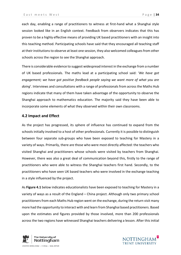each day, enabling a range of practitioners to witness at first-hand what a Shanghai style session looked like in an English context. Feedback from observers indicates that this has proven to be a highly effective means of providing UK based practitioners with an insight into this teaching method. Participating schools have said that they encouraged all teaching staff at their institutions to observe at least one session, they also welcomed colleagues from other schools across the region to see the Shanghai approach.

There is considerable evidence to suggest widespread interest in the exchange from a number of UK based professionals. The maths lead at a participating school said: '*We have got engagement; we have got positive feedback people saying we want more of what you are doing*'. Interviews and consultations with a range of professionals from across the Maths Hub regions indicate that many of them have taken advantage of the opportunity to observe the Shanghai approach to mathematics education. The majority said they have been able to incorporate some elements of what they observed within their own classrooms.

## <span id="page-41-0"></span>**4.2 Impact and Effect**

As the project has progressed, its sphere of influence has continued to expand from the schools initially involved to a host of other professionals. Currently it is possible to distinguish between four separate sub-groups who have been exposed to teaching for Mastery in a variety of ways. Primarily, there are those who were most directly affected: the teachers who visited Shanghai and practitioners whose schools were visited by teachers from Shanghai. However, there was also a great deal of communication beyond this, firstly to the range of practitioners who were able to witness the Shanghai teachers first hand. Secondly, to the practitioners who have seen UK based teachers who were involved in the exchange teaching in a style influenced by the project.

As **Figure 4.1** below indicates educationalists have been exposed to teaching for Mastery in a variety of ways as a result of the England – China project. Although only two primary school practitioners from each Maths Hub region went on the exchange, during the return visit many more had the opportunity to interact with and learn from Shanghai based practitioners. Based upon the estimates and figures provided by those involved, more than 200 professionals across the two regions have witnessed Shanghai teachers delivering a lesson. After this initial



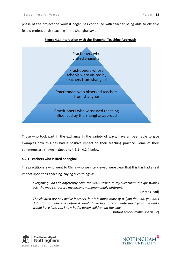phase of the project the work it began has continued with teacher being able to observe fellow professionals teaching in the Shanghai style.



## **Figure 4.1: Interaction with the Shanghai Teaching Approach**

Those who took part in the exchange in the variety of ways, have all been able to give examples how this has had a positive impact on their teaching practice. Some of their comments are shown in **Sections 4.2.1 - 4.2.4** below -

## <span id="page-42-0"></span>**4.2.1 Teachers who visited Shanghai**

The practitioners who went to China who we interviewed were clear that this has had a real impact upon their teaching, saying such things as:

*Everything I do I do differently now, the way I structure my curriculum the questions I ask, the way I structure my lessons – phenomenally different.*

(Maths lead)

*The children are still active learners, but it is much more of a "you do, I do, you do, I do" situation whereas before it would have been a 20-minute input from me and I would have lost, you know half a dozen children on the way.*

(Infant school maths specialist)

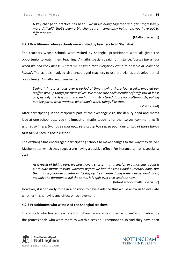A key change to practice has been: '*we move along together and get progressively more difficult', that's been a big change from constantly being told you have got to differentiate.*

(Maths specialist)

## <span id="page-43-0"></span>**4.2.2 Practitioners whose schools were visited by teachers from Shanghai**

The teachers whose schools were visited by Shanghai practitioners were all given the opportunity to watch them teaching. A maths specialist said, for instance: '*across the school when we had the Chinese visitors we ensured that everybody came to observe at least one lesson*'. The schools involved also encouraged teachers to use the trial as a developmental opportunity. A maths lead commented:

*Seeing it in our schools over a period of time, having those four weeks, enabled our staff to pick up things for themselves. We made sure each member of staff saw at least one, usually two lessons and then had that structured discussions afterwards, pulling out key parts, what worked, what didn't work, things like that.* 

(Maths lead)

After participating in the reciprocal part of the exchange visit, the deputy head and maths lead at one school observed the impact on maths teaching for themselves, commenting: 'i*t was really interesting to see that each year group has seized upon one or two of those things that they'd seen in those lessons*'.

The exchange has encouraged participating schools to make changes to the way they deliver Mathematics, which they suggest are having a positive effect. For instance, a maths specialist said:

*As a result of taking part, we now have a shorter maths session in a morning, about a 40-minute maths session, whereas before we had the traditional numeracy hour. But then that is followed up later in the day by the children doing some independent work, actually the duration is still the same, it is split over two sessions now.*

(Infant school maths specialist)

However, it is too early to be in a position to have evidence that would allow us to evaluate whether this is having any effect on achievement.

#### <span id="page-43-1"></span>**4.2.3 Practitioners who witnessed the Shanghai teachers**

The schools who hosted teachers from Shanghai were described as 'open' and 'inviting' by the professionals who went there to watch a session. Practitioner also said they have been



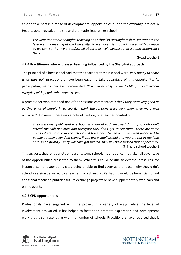able to take part in a range of developmental opportunities due to the exchange project. A Head teacher revealed the she and the maths lead at her school:

*We went to observe Shanghai teaching at a school in Nottinghamshire, we went to the lesson study meeting at the University. So we have tried to be involved with as much as we can, so that we are informed about it as well, because that is really important I think.*

(Head teacher)

## <span id="page-44-0"></span>**4.2.4 Practitioners who witnessed teaching influenced by the Shanghai approach**

The principal of a host school said that the teachers at their school were '*very happy to share what they do*', practitioners have been eager to take advantage of this opportunity. As participating maths specialist commented: '*It would be easy for me to fill up my classroom everyday with people who want to see it*'.

A practitioner who attended one of the sessions commented: '*I think they were very good at getting a lot of people in to see it. I think the sessions were very open, they were well publicised*'. However, there was a note of caution, one teacher pointed out:

*They were well publicised to schools who are already involved. A lot of schools don't attend the Hub activities and therefore they don't get to see them. There are some areas where no one in the school will have been to see it. It was well publicised to people already attending things, if you are a small school and you are not in the loop or it isn't a priority – they will have got missed, they will have missed that opportunity.* (Primary school teacher)

This suggests that for a variety of reasons, some schools may not or cannot take full advantage of the opportunities presented to them. While this could be due to external pressures, for instance, some respondents cited being unable to find cover as the reason why they didn't attend a session delivered by a teacher from Shanghai. Perhaps it would be beneficial to find additional means to publicise future exchange projects or have supplementary webinars and online events.

#### <span id="page-44-1"></span>**4.2.5 CPD opportunities**

Professionals have engaged with the project in a variety of ways, while the level of involvement has varied, it has helped to foster and promote exploration and development work that is still resonating within a number of schools. Practitioners have reported that it



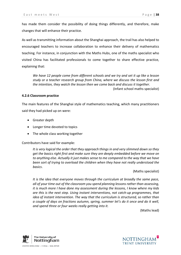has made them consider the possibility of doing things differently, and therefore, make changes that will enhance their practice.

As well as transmitting information about the Shanghai approach, the trail has also helped to encouraged teachers to increase collaboration to enhance their delivery of mathematics teaching. For instance, in conjunction with the Maths Hubs, one of the maths specialist who visited China has facilitated professionals to come together to share effective practice, explaining that:

*We have 12 people come from different schools and we try and set it up like a lesson study or a teacher research group from China, where we discuss the lesson first and the intention, they watch the lesson then we come back and discuss it together*.

(Infant school maths specialist)

#### <span id="page-45-0"></span>**4.2.6 Classroom practice**

The main features of the Shanghai style of mathematics teaching, which many practitioners said they had picked up on were:

- Greater depth
- Longer time devoted to topics
- The whole class working together

Contributors have said for example:

*It is very logical the order that they approach things in and very slimmed down so they get the basics right first and make sure they are deeply embedded before we move on to anything else. Actually it just makes sense to me compared to the way that we have been sort of trying to overload the children when they have not really understood the basics*.

(Maths specialist)

*It is the idea that everyone moves through the curriculum at broadly the same pace, all of your time out of the classroom you spend planning lessons rather than assessing, it is much more I have done my assessment during the lessons, I know where my kids are this is the next step. Using instant interventions, not catch-up programmes, that idea of instant intervention. The way that the curriculum is structured, so rather than a couple of days on fractions autumn, spring, summer let's do it once and do it well, and spend three or four weeks really getting into it.* 

(Maths lead)

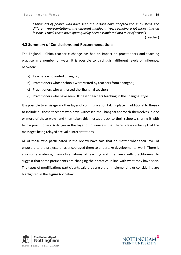*I think lots of people who have seen the lessons have adopted the small steps, the different representations, the different manipulatives, spending a lot more time on lessons. I think those have quite quickly been assimilated into a lot of schools.* 

(Teacher)

## <span id="page-46-0"></span>**4.3 Summary of Conclusions and Recommendations**

The England – China teacher exchange has had an impact on practitioners and teaching practice in a number of ways. It is possible to distinguish different levels of influence, between:

- a) Teachers who visited Shanghai;
- b) Practitioners whose schools were visited by teachers from Shanghai;
- c) Practitioners who witnessed the Shanghai teachers;
- d) Practitioners who have seen UK based teachers teaching in the Shanghai style.

It is possible to envisage another layer of communication taking place in additional to these to include all those teachers who have witnessed the Shanghai approach themselves in one or more of these ways, and then taken this message back to their schools, sharing it with fellow practitioners. A danger in this layer of influence is that there is less certainly that the messages being relayed are valid interpretations.

All of those who participated in the review have said that no matter what their level of exposure to the project, it has encouraged them to undertake developmental work. There is also some evidence, from observations of teaching and interviews with practitioners, to suggest that some participants are changing their practice in line with what they have seen. The types of modifications participants said they are either implementing or considering are highlighted in the **Figure 4.2** below:



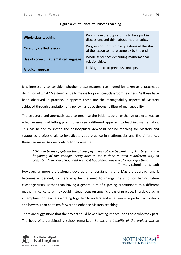| Whole class teaching                 | Pupils have the opportunity to take part in<br>discussions and think about mathematics.     |  |
|--------------------------------------|---------------------------------------------------------------------------------------------|--|
| <b>Carefully crafted lessons</b>     | Progression from simple questions at the start<br>of the lesson to more complex by the end. |  |
| Use of correct mathematical language | Whole sentences describing mathematical<br>relationships.                                   |  |
| A logical approach                   | Linking topics to previous concepts.                                                        |  |

## **Figure 4.2: Influence of Chinese teaching**

It is interesting to consider whether these features can indeed be taken as a pragmatic definition of what "Mastery" actually means for practicing classroom teachers. As these have been observed in practice, it appears these are the manageability aspects of Mastery achieved through translation of a policy narrative through a filter of manageability.

The structure and approach used to organise the initial teacher exchange projects was an effective means of letting practitioners see a different approach to teaching mathematics. This has helped to spread the philosophical viewpoint behind teaching for Mastery and supported professionals to investigate good practice in mathematics and the differences these can make. As one contributor commented:

*I think in terms of getting the philosophy across at the beginning of Mastery and the beginning of this change, being able to see it done in such a different way so consistently in your school and seeing it happening was a really powerful thing.*

(Primary school maths lead)

However, as more professionals develop an understanding of a Mastery approach and it becomes embedded, so there may be the need to change the ambition behind future exchange visits. Rather than having a general aim of exposing practitioners to a different mathematical culture, they could instead focus on specific areas of practice. Thereby, placing an emphasis on teachers working together to understand what works in particular contexts and how this can be taken forward to enhance Mastery teaching.

There are suggestions that the project could have a lasting impact upon those who took part. The head of a participating school remarked: *'I think the benefits of the project will be* 



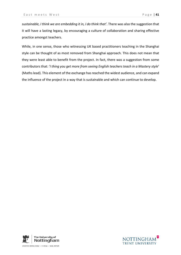*sustainable, I think we are embedding it in, I do think that'*. There was also the suggestion that it will have a lasting legacy, by encouraging a culture of collaboration and sharing effective practice amongst teachers.

While, in one sense, those who witnessing UK based practitioners teaching in the Shanghai style can be thought of as most removed from Shanghai approach. This does not mean that they were least able to benefit from the project. In fact, there was a suggestion from some contributors that: '*I thing you get more from seeing English teachers teach in a Mastery style*' (Maths lead). This element of the exchange has reached the widest audience, and can expand the influence of the project in a way that is sustainable and which can continue to develop.



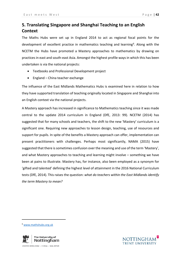## <span id="page-49-0"></span>**5. Translating Singapore and Shanghai Teaching to an English Context**

The Maths Hubs were set up in England 2014 to act as regional focal points for the development of excellent practice in mathematics teaching and learning<sup>[6](#page-49-1)</sup>. Along with the NCETM the Hubs have promoted a Mastery approaches to mathematics by drawing on practices in east and south-east Asia. Amongst the highest profile ways in which this has been undertaken is via the national projects:

- Textbooks and Professional Development project
- England China teacher exchange

The influence of the East Midlands Mathematics Hubs is examined here in relation to how they have supported translation of teaching originally located in Singapore and Shanghai into an English context via the national projects.

A Mastery approach has increased in significance to Mathematics teaching since it was made central to the update 2014 curriculum in England (DfE, 2013: 99). NCETM (2014) has suggested that for many schools and teachers, the shift to the new 'Mastery' curriculum is a significant one. Requiring new approaches to lesson design, teaching, use of resources and support for pupils. In spite of the benefits a Mastery approach can offer, implementation can present practitioners with challenges. Perhaps most significantly, NAMA (2015) have suggested that there is sometimes confusion over the meaning and use of the term 'Mastery', and what Mastery approaches to teaching and learning might involve – something we have been at pains to illustrate. Mastery has, for instance, also been employed as a synonym for 'gifted and talented' defining the highest level of attainment in the 2016 National Curriculum tests (DfE, 2014). This raises the question: *what do teachers within the East Midlands identify the term Mastery to mean?*

**.** 





<span id="page-49-1"></span><sup>6</sup> [www.mathshubs.org.uk](http://www.mathshubs.org.uk/)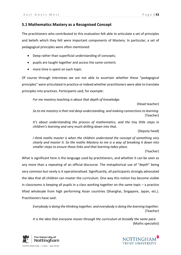## <span id="page-50-0"></span>**5.1 Mathematics Mastery as a Recognised Concept**

The practitioners who contributed to this evaluation felt able to articulate a set of principles and beliefs which they felt were important components of Mastery. In particular, a set of pedagogical principles were often mentioned:

- Deep rather than superficial understanding of concepts;
- pupils are taught together and access the same content;
- more time is spent on each topic.

Of course through interviews we are not able to ascertain whether these "pedagogical principles" were articulated in practice or indeed whether practitioners were able to translate principles into practices. Participants said, for example:

*For me mastery teaching is about that depth of knowledge.* 

(Head teacher)

*So to me mastery is that real deep understanding, and making connections to learning.*  (Teacher)

*It's about understanding the process of mathematics, and the tiny little steps in children's learning and very much drilling down into that.* 

(Deputy head)

*I think maths master is when the children understand the concept of something very clearly and master it. So the maths Mastery to me is a way of breaking it down into smaller steps to ensure those links and that learning takes place.* 

(Teacher)

What is significant here is the language used by practitioners, and whether it can be seen as any more than a repeating of an official discourse. The metaphorical use of "depth" being very common but rarely is it operationalised. Significantly, all participants strongly advocated the idea that all children can master the curriculum. One way this notion has become visible in classrooms is keeping all pupils in a class working together on the same topic – a practice lifted wholesale from high performing Asian countries (Shanghai, Singapore, Japan, etc.). Practitioners have said:

*Everybody is doing the thinking together, and everybody is doing the learning together.* (Teacher)

*It is the idea that everyone moves through the curriculum at broadly the same pace.*  (Maths specialist)



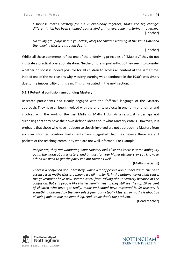*I suppose maths Mastery for me is everybody together, that's the big change; differentiation has been changed, so it is kind of that everyone mastering it together.*  (Teacher)

*No ability groupings within your class, all of the children learning at the same time and then having Mastery through depth.* 

(Teacher)

Whilst all these comments reflect one of the underlying principles of "Mastery" they do not illustrate a practical operationalisation. Neither, more importantly, do they seem to consider whether or not it is indeed possible for all children to access all content at the same time. Indeed one of the ma reasons why Mastery learning was abandoned in the 1930's was simply due to the impossibility of this aim. This is illustrated in the next section.

#### <span id="page-51-0"></span>**5.1.1 Potential confusion surrounding Mastery**

Research participants had clearly engaged with the "official" language of the Mastery approach. They have all been involved with the priority projects in one form or another and involved with the work of the East Midlands Maths Hubs. As a result, it is perhaps not surprising that they have their own defined ideas about what Mastery entails. However, it is probable that those who have not been so closely involved are not approaching Mastery from such an informed position. Participants have suggested that they believe there are still pockets of the teaching community who are not well informed. For Example:

*People are, they are wondering what Mastery looks like and there is some ambiguity out in the world about Mastery, and is it just for your higher attainers' or you know, so I think we need to get the party line out there as well.*

#### (Maths specialist)

*There is a confusion about Mastery, which a lot of people don't understand. The basic essence is in maths Mastery means we all master it. In the national curriculum sense, the government have now steered away from talking about Mastery because of the confusion. But still people like Fischer Family Trust … they still see the top 10 percent of children who have got really, really embedded have mastered it. So Mastery is something obtained by the very select few, but actually Mastery in maths is about us all being able to master something. And I think that's the problem.*

(Head teacher)



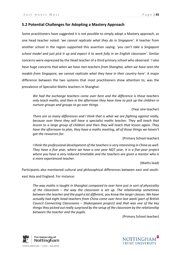## <span id="page-52-0"></span>**5.2 Potential Challenges for Adopting a Mastery Approach**

Some practitioners have suggested it is not possible to simply adopt a Mastery approach, as one head teacher noted: '*we cannot replicate what they do in Singapore'*. A teacher from another school in the region supported this assertion saying: *'you can't take a Singapore school model and just pick it up and expect it to work fully in an English classroom'.* Similar concerns were expressed by the Head teacher of a third primary school who observed: '*I also have huge concerns that when we have met teachers from Shanghai, when we have seen the models from Singapore, we cannot replicate what they have in their country here'.* A major difference between the two systems that most practitioners drew attention to, was the prevalence of Specialist Maths teachers in Shanghai:

*We had the exchange teachers come over here and the difference is those teachers only teach maths, and then in the afternoon they have time to pick up the children in nurture groups and groups to go over things.* 

(Year one teacher)

*There are so many differences and I think that is what we are fighting against really, because over there they will have a specialist maths teacher. They will teach that lesson to a large group of children and then they will teach that lesson again. They have the afternoon to plan, they have a maths meeting, all of those things we haven't got the resources for.* 

(Primary School teacher)

*I think the professional development of the teachers is very interesting in China as well. They have a five year, where we have a one year NQT year, it is a five-year project where you have a very reduced timetable and the teachers are given a mentor who is a more experienced teacher.*

(Maths lead)

Participants also mentioned cultural and philosophical differences between east and south-

east Asia and England. For instance:

*The way maths is taught in Shanghai compared to over here just in sort of physicality of the classroom – the way the classroom is set up. The relationship sometimes between the teacher and the pupil a lot different, you know the larger classes. We have actually had eight head teachers from China come over here last week* [*part of British Council Connecting Classrooms – Shakespeare project] and that was one of the key things they picked out really surprised by the setup of the classroom by the relationship between the teacher and the pupils.* 

(Primary School teacher)

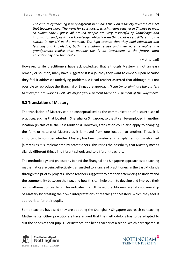*The culture of teaching is very different in China; I think on a society level the respect that teachers have. The word for sir is laoshi, which means teacher in Chinese as well, so subliminally I guess all around people are very respectful of knowledge and information and passing on knowledge, which is something that is very different to the culture in the UK at the moment. The high esteem that they hold education and learning and knowledge, both the children realise and their parents realise, the grandparents realise that actually this is an investment in the future, both educationally and financially.* 

#### (Maths lead)

However, while practitioners have acknowledged that although Mastery is not an easy remedy or solution, many have suggested it is a journey they want to embark upon because they feel it addresses underlying problems. A Head teacher asserted that although it is not possible to reproduce the Shanghai or Singapore approach: '*I can try to eliminate the barriers to allow for it to work as well. We might get 80 percent there or 60 percent of the way there'*.

## <span id="page-53-0"></span>**5.3 Translation of Mastery**

The translation of Mastery can be conceptualised as the communication of a source set of practices, such as that located in Shanghai or Singapore, so that it can be employed in another location (in this case the East Midlands). However, translation could also apply to changing the form or nature of Mastery as it is moved from one location to another. Thus, it is important to consider whether Mastery has been transferred (transplanted) or transformed (altered) as it is implemented by practitioners. This raises the possibility that Mastery means slightly different things in different schools and to different teachers.

The methodology and philosophy behind the Shanghai and Singapore approaches to teaching mathematics are being effectively transmitted to a range of practitioners in the East Midlands through the priority projects. These teachers suggest they are then attempting to understand the commonality between the two, and how this can help them to develop and improve their own mathematics teaching. This indicates that UK based practitioners are taking ownership of Mastery by creating their own interpretations of teaching for Mastery, which they feel is appropriate for their pupils.

Some teachers have said they are adopting the Shanghai / Singapore approach to teaching Mathematics. Other practitioners have argued that the methodology has to be adapted to suit the needs of their pupils. For instance, the head teacher of a school which participated in



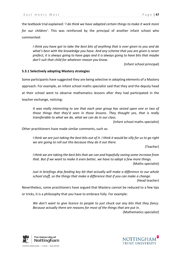the textbook trial explained: '*I do think we have adapted certain things to make it work more for our children'*. This was reinforced by the principal of another infant school who commented:

*I think you have got to take the best bits of anything that is ever given to you and do what's best with the knowledge you have. And any scheme that you are given is never prefect, it is always going to have gaps and it is always going to have bits that maybe don't suit that child for whatever reason you know.*

(Infant school principal)

## <span id="page-54-0"></span>**5.3.1 Selectively adopting Mastery strategies**

Some participants have suggested they are being selective in adopting elements of a Mastery approach. For example, an infant school maths specialist said that they and the deputy head at their school went to observe mathematics lessons after they had participated in the teacher exchange, noticing:

*It was really interesting to see that each year group has seized upon one or two of those things that they'd seen in those lessons. They thought yes, that is really transferable to what we do, what we can do in our class.* 

(Infant school maths specialist)

Other practitioners have made similar comments, such as:

*I think we are just taking the best bits out of it. I think it would be silly for us to go right we are going to roll out this because they do it out there.* 

(Teacher)

*I think we are taking the best bits that we can and hopefully seeing some increase from that. But if we want to make it even better, we have to adopt a few more things.*  (Maths specialist)

*Just in briefings drip feeding key bit that actually will make a difference to our whole school stuff, so the things that make a difference that if you can make a change.* (Head teacher)

Nevertheless, some practitioners have argued that Mastery cannot be reduced to a few tips or tricks, it is a philosophy that you have to embrace fully. For example:

*We don't want to give licence to people to just chuck out any bits that they fancy. Because actually there are reasons for most of the things that are put in.*  (Mathematics specialist)



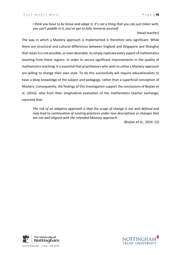*I think you have to be brave and adopt it, it's not a thing that you can just tinker with, you can't paddle in it, you've got to fully immerse yourself.*

(Head teacher)

The way in which a Mastery approach is implemented is therefore very significant. While there are structural and cultural differences between England and Singapore and Shanghai that mean it is not possible, or even desirable, to simply replicate every aspect of mathematics teaching from these regions. In order to secure significant improvements in the quality of mathematics teaching, it is essential that practitioners who wish to utilise a Mastery approach are willing to change their own style. To do this successfully will require educationalists to have a deep knowledge of the subject and pedagogy, rather than a superficial conception of Mastery. Consequently, the findings of this investigation support the conclusions of Boylan et al. (2016), who from their longitudinal evaluation of the mathematics teacher exchange, reported that:

*The risk of an adaptive approach is that the scope of change is not well defined and may lead to continuation of existing practices under new descriptions or changes that are not well aligned with the intended Mastery approach.* 

(Boylan et al., 2016: 12)



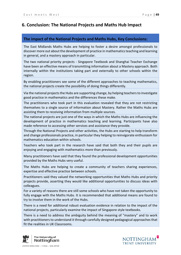## <span id="page-56-0"></span>**6. Conclusion: The National Projects and Maths Hub Impact**

## **The impact of the National Projects and Maths Hubs, Key Conclusions:**

The East Midlands Maths Hubs are helping to foster a desire amongst professionals to discover more out about the development of practice in mathematics teaching and learning in general, and a mastery approach in particular.

The two national priority projects - Singapore Textbook and Shanghai Teacher Exchange have been an effective means of transmitting information about a Mastery approach. Both internally within the institutions taking part and externally to other schools within the region.

By enabling practitioners see some of the different approaches to teaching mathematics, the national projects create the possibility of doing things differently.

Via the national projects the Hubs are supporting change, by helping teachers to investigate good practice in mathematics and the differences these make.

The practitioners who took part in this evaluation revealed that they are not restricting themselves to a single source of information about Mastery. Rather the Maths Hubs are assisting them to receiving information from multiple sources.

The national projects are just one of the ways in which the Maths Hubs are influencing the development of practice in mathematics teaching and learning. Participants have also made reference to accessing other services and assistance they provide.

Through the National Projects and other activities, the Hubs are starting to help transform and change professionals practice, in particular they helping to reinvigorate enthusiasm for mathematics education within schools.

Teachers who took part in the research have said that both they and their pupils are enjoying and engaging with mathematics more than previously.

Many practitioners have said that they found the professional development opportunities provided by the Maths Hubs very useful.

The Maths Hubs are helping to create a community of teachers sharing experiences, expertise and effective practice between schools.

Practitioners said they valued the networking opportunities that Maths Hubs and priority projects provide, asserting they would like additional opportunities to discuss ideas with colleagues.

For a variety of reasons there are still some schools who have not taken the opportunity to fully engage with the Maths Hubs. It is recommended that additional means are found to try to involve them in the work of the Hubs.

There is a need for additional robust evaluation evidence in relation to the impact of the national projects, particularly examine the impact of Singapore style textbooks.

There is a need to address the ambiguity behind the meaning of "mastery" and to work with practitioners to understand it through carefully designed pedagogical approaches that fit the realities in UK Classrooms.



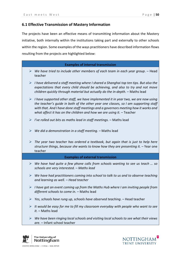## <span id="page-57-0"></span>**6.1 Effective Transmission of Mastery Information**

The projects have been an effective means of transmitting information about the Mastery initiative, both internally within the institutions taking part and externally to other schools within the region. Some examples of the ways practitioners have described information flows resulting from the projects are highlighted below:

|                       | <b>Examples of internal transmission</b>                                                                                                                                                                                                                                                                                                   |
|-----------------------|--------------------------------------------------------------------------------------------------------------------------------------------------------------------------------------------------------------------------------------------------------------------------------------------------------------------------------------------|
| ➤                     | We have tried to include other members of each team in each year group. - Head<br>teacher                                                                                                                                                                                                                                                  |
| ➤                     | I have delivered a staff meeting where I shared a Shanghai top ten tips. But also the<br>expectations that every child should be achieving, and also to try and not move<br>children quickly through material but actually do the in-depth. - Maths lead                                                                                   |
| ➤                     | I have supported other staff, we have implemented it in year two, we are now using<br>the teacher's guide in both of the other year one classes, so I am supporting staff<br>with that. And I have done staff meetings and a governors meeting how it works and<br>what affect it has on the children and how we are using it. $-$ Teacher |
|                       | $\triangleright$ I've rolled out bits as maths lead in staff meetings. - Maths lead                                                                                                                                                                                                                                                        |
| $\blacktriangleright$ | We did a demonstration in a staff meeting. - Maths lead                                                                                                                                                                                                                                                                                    |
| ➤                     | The year two teacher has ordered a textbook, but again that is just to help here<br>structure things, because she wants to know how they are presenting it. - Year one<br>teacher                                                                                                                                                          |
|                       | <b>Examples of external transmission</b>                                                                                                                                                                                                                                                                                                   |
| ➤                     | We have had quite a few phone calls from schools wanting to see us teach  so<br>schools are very interested. - Maths lead                                                                                                                                                                                                                  |
| ➤                     | We have had practitioners coming into school to talk to us and to observe teaching<br>and learning as well. - Head teacher                                                                                                                                                                                                                 |
| ➤                     | I have got an event coming up from the Maths Hub where I am inviting people from<br>different schools to come in. - Maths lead                                                                                                                                                                                                             |
| ➤                     | Yes, schools have rung up, schools have observed teaching. - Head teacher                                                                                                                                                                                                                                                                  |
| ➤                     | It would be easy for me to fill my classroom everyday with people who want to see<br>it. - Maths lead                                                                                                                                                                                                                                      |
| ➤                     | We have been ringing local schools and visiting local schools to see what their views<br>are. - Infant school teacher                                                                                                                                                                                                                      |



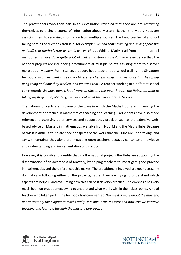The practitioners who took part in this evaluation revealed that they are not restricting themselves to a single source of information about Mastery. Rather the Maths Hubs are assisting them to receiving information from multiple sources. The Head teacher of a school taking part in the textbook trail said, for example: '*we had some training about Singapore Bar and different methods that we could use in school'*. While a Maths lead from another school mentioned: '*I have done quite a lot of maths mastery courses*'. There is evidence that the national projects are influencing practitioners at multiple points, assisting them to discover more about Mastery. For instance, a deputy head teacher at a school trailing the Singapore textbooks said: '*we went to see the Chinese teacher exchange, and we looked at their pingpong thing and how they worked, and we tried that*'. A teacher working at a different school commented: '*We have done a lot of work on Mastery this year through the Hub … we went to taking mystery out of Mastery, we have looked at the Singapore textbooks*'.

The national projects are just one of the ways in which the Maths Hubs are influencing the development of practice in mathematics teaching and learning. Participants have also made reference to accessing other services and support they provide, such as the extensive webbased advice on Mastery in mathematics available from NCETM and the Maths Hubs. Because of this it is difficult to isolate specific aspects of the work that the Hubs are undertaking, and say with certainty they alone are impacting upon teachers' pedagogical content knowledge and understanding and implementation of didactics.

However, it is possible to identify that via the national projects the Hubs are supporting the dissemination of an awareness of Mastery, by helping teachers to investigate good practice in mathematics and the differences this makes. The practitioners involved are not necessarily dogmatically following either of the projects, rather they are trying to understand which aspects are helpful, and evaluating how this can best develop practice. The emphasis has very much been on practitioners trying to understand what works within their classrooms. A head teacher who taken part in the textbook trail commented: '*for me it is more about the mastery, not necessarily the Singapore maths really. It is about the mastery and how can we improve teaching and learning through the mastery approach'.*



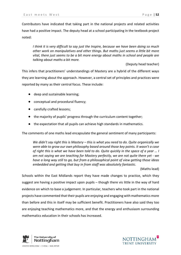Contributors have indicated that taking part in the national projects and related activities have had a positive impact. The deputy head at a school participating in the textbook project noted:

*I think it is very difficult to say just the Inspire, because we have been doing so much other work on manipulatives and other things. But maths just seems a little bit more vital, there just seems to be a bit more energy about maths in school and people are talking about maths a bit more.*

(Deputy head teacher)

This infers that practitioners' understandings of Mastery are a hybrid of the different ways they are learning about the approach. However, a central set of principles and practices were reported by many as their central focus. These include:

- deep and sustainable learning;
- conceptual and procedural fluency;
- carefully crafted lessons;
- the majority of pupils' progress through the curriculum content together;
- the expectation that all pupils can achieve high standards in mathematics.

The comments of one maths lead encapsulate the general sentiment of many participants:

*We didn't say right this is Mastery – this is what you need to do. Quite organically we were able to grow our own philosophy based around those key points. It wasn't a case of right this is what we have been told to do. Quite quickly in the space of a year … I am not saying we are teaching for Mastery perfectly, we are not quite there yet - we have a long way still to go, but from a philosophical point of view getting those ideas embedded and getting that buy in from staff was absolutely fantastic.*

(Maths lead)

Schools within the East Midlands report they have made changes to practice, which they suggest are having a positive impact upon pupils – though there vis little in the way of hard evidence on which to base a judgement. In particular, teachers who took part in the national projects have commented that their pupils are enjoying and engaging with mathematics more than before and this in itself may be sufficient benefit. Practitioners have also said they too are enjoying teaching mathematics more, and that the energy and enthusiasm surrounding mathematics education in their schools has increased.



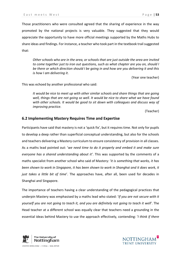Those practitioners who were consulted agreed that the sharing of experience in the way promoted by the national projects is very valuable. They suggested that they would appreciate the opportunity to have more official meetings supported by the Maths Hubs to share ideas and findings. For instance, a teacher who took part in the textbook trail suggested that:

*Other schools who are in the area, or schools that are just outside the area are invited to come together just to iron out questions, such as what chapter are you on, should I be there or which direction should I be going in and how are you delivering it and this is how I am delivering it*.

(Year one teacher)

This was echoed by another professional who said:

*It would be nice to meet up with other similar schools and share things that are going well, things that are not going so well. It would be nice to share what we have found with other schools. It would be good to sit down with colleagues and discuss way of improving practice.* 

(Teacher)

#### <span id="page-60-0"></span>**6.2 Implementing Mastery Requires Time and Expertise**

Participants have said that mastery is not a 'quick fix', but it requires time. Not only for pupils to develop a deep rather than superficial conceptual understanding, but also for the schools and teachers delivering a Mastery curriculum to ensure consistency of provision in all classes. As a maths lead pointed out: '*we need time to do it properly and embed it and make sure everyone has a shared understanding about it'*. This was supported by the comments of a maths specialist from another school who said of Mastery: '*it is something that works, it has been shown to work in Singapore, it has been shown to work in Shanghai and it does work, it just takes a little bit of time*'. The approaches have, after all, been used for decades in Shanghai and Singapore.

The importance of teachers having a clear understanding of the pedagogical practices that underpin Mastery was emphasised by a maths lead who stated: '*If you are not secure with it yourself you are not going to teach it, and you are definitely not going to teach it well*'. The Head teacher at a different school was equally clear that teachers need a grounding in the essential ideas behind Mastery to use the approach effectively, contending: '*I think if there* 



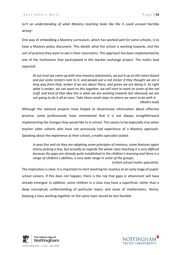*isn't an understanding of what Mastery teaching looks like the it could unravel horribly wrong'*.

One way of embedding a Mastery curriculum, which has worked well for some schools, is to have a Mastery policy document. This details what the school is working towards, and the sort of practice they want to see in their classrooms. This approach has been implemented by one of the institutions that participated in the teacher exchange project. The maths lead reported:

*At our trust we came up with nine mastery statements, we put it up on the notice board and put some stickers next to it, and people put a red sticker if they thought we are a long way from that, amber if we are about there, and green we are doing it. So right what is amber, we can work on this together, we will start to work on some of the red stuff, and kind of that idea this is what we are working towards but obviously we are not going to do it all at once. Take those small steps to where we want to be with it.* (Maths lead)

Although the national projects have helped to disseminate information about effective practice, some professionals have commented that it is not always straightforward implementing the changes they would like to in school. This seems to be especially true when teacher older cohorts who have not previously had experience of a Mastery approach. Speaking about the experience at their school, a maths specialist stated:

*In year five and six they are adopting some principles of mastery, some features again cherry picking a few, but actually as regards the whole class teaching it is very difficult because the gaps are already quite established in the children's learning and there is a range of children's abilities, a very wide range in some of the groups.*

(Infant school maths specialist).

The implication is clear; it is important to start teaching for mastery at an early stage of pupils' school careers. If this does not happen, there is the risk that gaps in attainment will have already emerged. In addition, some children in a class may have a superficial, rather than a deep conceptual, understanding of particular topics and areas of mathematics. Hence, keeping a class working together on the same topic would be less feasible.



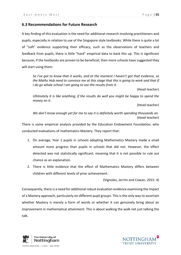## <span id="page-62-0"></span>**6.3 Recommendations for Future Research**

A key finding of this evaluation is the need for additional research involving practitioners and pupils, especially in relation to use of the Singapore style textbooks. While there is quite a lot of "soft" evidence supporting their efficacy, such as the observations of teachers and feedback from pupils, there is little "hard" empirical data to back this up. This is significant because, if the textbooks are proven to be beneficial, then more schools have suggested they will start using them:

*So I've got to know that it works, and at the moment I haven't got that evidence, so the Maths Hub need to convince me at this stage that this is going to work and that if I do go whole school I am going to see the results from it*.

(Head teacher)

*Ultimately it is like anything; if the results do well you might be happy to spend the money on it.*

(Head teacher)

*We don't know enough yet for me to say it is definitely worth spending thousands on.* (Head teacher)

There is some empirical analysis provided by the Education Endowment Foundation, who conducted evaluations of mathematics Mastery. They report that:

- 1. On average, Year 1 pupils in schools adopting Mathematics Mastery made a small amount more progress than pupils in schools that did not. However, the effect detected was not statistically significant, meaning that it is not possible to rule out chance as an explanation.
- 2. There is little evidence that the effect of Mathematics Mastery differs between children with different levels of prior achievement.

(Vignoles, Jerrim and Cowan, 2015: 4)

Consequently, there is a need for additional robust evaluation evidence examining the impact of a Mastery approach, particularly on different pupil groups. This is the only way to ascertain whether Mastery is merely a form of words or whether it can genuinely bring about an improvement in mathematical attainment. This is about walking the walk not just talking the talk.



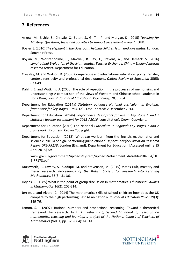## <span id="page-63-0"></span>**7. References**

- Askew, M., Biship, S., Christie, C., Eaton, S., Griffin, P. and Morgan, D. (2015) *Teaching for Mastery: Questions, tasks and activities to support assessment – Year 1*. OUP.
- Boaler, J. (2010) *The elephant in the classroom: helping children learn and love maths.* London: Souvenir Press.
- Boylan, M., Wolstenholme, C., Maxwell, B., Jay, T., Stevens, A., and Demack, S. (2016) *Longitudinal Evaluation of the Mathematics Teacher Exchange: China – England Interim research report*. Department for Education.
- Crossley, M. and Watson, K. (2009) Comparative and international education: policy transfer, context sensitivity and professional development. *Oxford Review of Education* 35(5): 633-49.
- Dahlin, B. and Watkins, D. (2000) The role of repetition in the processes of memorising and understanding: A comparison of the views of Western and Chinese school students in Hong Kong. *British Journal of Educational Psychology*, 70, 65-84.
- Department for Education (2014a) *Statutory guidance National curriculum in England: framework for key stages 1 to 4.* DfE. Last updated: 2 December 2014.
- Department for Education (2014b) *Performance descriptors for use in key stage 1 and 2 statutory teacher assessment for 2015 / 2016* (consultation). Crown Copyright.
- Department for Education (2013) The National *Curriculum in England: Key stages 1 and 2 framework document*. Crown Copyright.
- Department for Education. (2012) 'What can we learn from the English, mathematics and science curricula of high- performing jurisdictions?' *Department for Education Research Report DFE-RR178*. London (England): Department for Education. [Accessed online 15 April 2015] At:

[www.gov.uk/government/uploads/system/uploads/attachment\\_data/file/184064/DF](http://www.gov.uk/government/uploads/system/uploads/attachment_data/file/184064/DFE-RR178.pdf) [E-RR178.pdf](http://www.gov.uk/government/uploads/system/uploads/attachment_data/file/184064/DFE-RR178.pdf)

- Duckworth, L., Lawley, S., Siddiqui, M. and Stevenson, M. (2015) Maths Hub, mastery and messy research. *Proceedings of the British Society for Research into Learning Mathematics*, 35(3), 31-36.
- Hoyles, C. (1985) What is the point of group discussion in mathematics. *Educational Studies in Mathematics* 16(2): 205-214.
- Jerrim, J. and Alvaro, C. (2014) The mathematics skills of school children: how does the UK compare to the high performing East Asian nations? *Journal of Education Policy* 29(3): 349-76.
- Lamon, S. J. (2007). Rational numbers and proportional reasoning: Toward a theoretical framework for research. In F. K. Lester (Ed.), *Second handbook of research on mathematics teaching and learning: a project of the National Council of Teachers of Mathematics* (Vol. 1, pp. 629-664): NCTM.